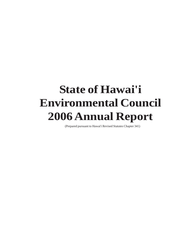## **State of Hawai'i Environmental Council 2006 Annual Report**

(Prepared pursuant to Hawai'i Revised Statutes Chapter 341)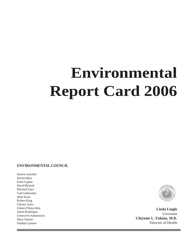# **Environmental Report Card 2006**

#### **ENVIRONMENTAL COUNCIL**

Denise Antolini David Atkin Faith Caplan David Bylund Michael Faye Gail Grabowsky Shad Kane Robert King Chester Saito Eileen O'Hora-Weir James Rodriques Genevieve Salmonson Mary Steiner Paulette Ujimori



--

**Linda Lingle** Governor **Chiyome L. Fukino, M.D.** Director of Health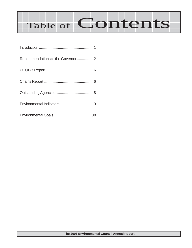# Table of Contents

| Recommendations to the Governor 2 |  |
|-----------------------------------|--|
|                                   |  |
|                                   |  |
|                                   |  |
|                                   |  |
|                                   |  |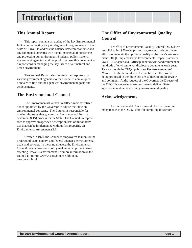### **Introduction**

#### **This Annual Report**

This report contains an update of the key Environmental Indicators, reflecting varying degrees of progress made in the State of Hawaii to address the balance between economic and environmental concerns with the ultimate goal of preserving and protecting our environment. Students, policy makers, government agencies, and the public can use this document as a report card in managing the key issues of our natural and urban environment.

This Annual Report also presents the responses by various government agencies to the Council's annual questionnaire to find out the agencies' environmental goals and achievements.

#### **The Environmental Council**

 The Environmental Council is a fifteen-member citizen board appointed by the Governor to advise the State on environmental concerns. The Council is responsible for making the rules that govern the Environmental Impact Statement (EIS) process for the State. The Council is empowered to approve an agency's "exemption list" of minor activities that can be implemented without first preparing an Environmental Assessment (EA).

Created in 1970, the Council is empowered to monitor the progress of state, county, and federal agencies' environmental goals and policies. In the annual report, the Environmental Council must advise state policy makers on important issues affecting Hawai'i's environment. For more information on the council go to http://www.state.hi.us/health/oeqc/ envcouncil.html

#### **The Office of Environmental Quality Control**

The Office of Environmental Quality Control (OEQC) was established in 1970 to help stimulate, expand and coordinate efforts to maintain the optimum quality of the State's environment. OEQC implements the Environmental Impact Statement law, HRS Chapter 343. Office planners review and comment on hundreds of environmental disclosure documents each year. Twice a month the OEQC publishes *The Environmental Notice*. This bulletin informs the public of all the projects being proposed in the State that are subject to public review and comment. At the request of the Governor, the Director of the OEQC is empowered to coordinate and direct State agencies in matters concerning environmental quality.

#### **Acknowledgements**

The Environmental Council would like to express our many thanks to the OEQC staff for compiling this report.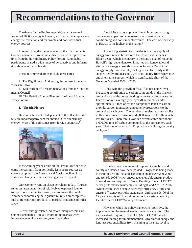The theme for the Environmental Council's Annual Report of 2006 is energy in Hawaii, with particular emphasis on energy use reduction and renewable and non-fossil-fuel energy sources.

In researching the theme of energy, the Environmental Council convened a roundtable discussion with representatives from the Hawaii Energy Policy Forum. Roundtable participants shared a wide range of perspectives and information about energy in Hawaii.

These recommendations include three parts:

I. The Big Picture: Addressing the context for energy issues in Hawaii

II. Selected specific recommendations from the Environmental Council

III. The 10-Point Energy Plan from the Hawaii Energy Policy Forum

#### **I. The Big Picture**

Hawaii is the most oil-dependent of the 50 states. We rely on imported petroleum for about 89% of our primary energy. Most of this oil comes from foreign countries.<sup>1</sup>



In the coming years, crude oil for Hawaii's refineries will come increasingly from politically less secure sources as current supplies from Australia and Alaska decline. Price spikes will likely become increasingly more frequent.<sup>2</sup>

Our economy runs on cheap petroleum today. Tourism relies on large quantities of relatively cheap fossil fuel to transport our visitors to Hawaii, and to power the hotels. Another economic engine, agriculture, relies on cheap fossil fuel to transport our products to markets thousands of miles away.

Current energy-related indicators, many of which are summarized in this Annual Report, point to areas where improvement will be welcome, even imperative.

Electricity use per capita in Hawaii is currently rising. Two causes appear to be increased use of residential air conditioning and consumer electronics. The cost of electricity in Hawaii is the highest in the nation.<sup>3</sup>

A shocking statistic to consider is that the supply of energy from renewable sources has *decrease*d in the last fifteen years, which is contrary to the state's goal of reducing Hawaii's high dependence on imported oil. Renewable and alternative energy currently accounts for only 5% of total energy supply. For example, the largest electric utility in the state currently produces only 7% of its energy from renewable and alternative sources, which is significantly short of the Governor's goal of 20% by 2020.

Along with the growth of fossil-fuel use comes everincreasing contribution to carbon compounds in the planet's atmosphere and the corresponding increase in global warming. Each of today's average (non-hybrid) automobiles adds approximately 6 tons of carbon compounds (such as carbon dioxide, carbon monoxide, and other hydrocarbons) to the atmosphere each year.4 The number of registered automobiles in Hawaii has risen from about 940,000 to over 1.1 million in the last five years. Therefore, Hawaiian drivers contribute about 6,600,000 tons of carbon compounds to the atmosphere each year. That is equivalent to 18 Empire State Buildings in the sky each year!



In the last year, a number of important state bills and county ordinances have been passed. Progress is being made in the policy realm. Notable legislation include Act 240, 2006 and Act 96, 2006 (which encourage renewable energy production and use, and require US Green Building Council LEED<sup>™</sup> Silver performance in new state buildings), and Act 162, 2006 (which establishes a statewide energy efficiency utility and energy efficiency portfolio standards). Ordinance 06-06 of the City and County of Honolulu requires that certain new city facilities meet LEED<sup>™</sup> Silver performance.

However, while the policy framework is positive, the implementation framework needs immediate attention. The increased role required of the PUC (Act 143, 2006) needs increased funding for implementation. Any shift of energy and land-use responsibilities from planning at the state level to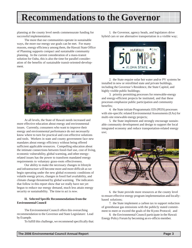planning at the county level needs commensurate funding for successful implementation.

The more that our communities operate in sustainable ways, the more our energy use goals can be met. For many reasons, energy efficiency among them, the Hawaii State Office of Planning supports compact and sustainable community planning. In the current consideration of a mass-transit solution for Oahu, this is also the time for parallel consideration of the benefits of sustainable transit-oriented-development.



At all levels, the State of Hawaii needs increased and more effective education about energy and environmental issues. Currently, consumers who want to improve their energy and environmental performance do not necessarily know where to turn for practical and cost-effective solutions and tools. Workers in state and county government face new mandates about energy efficiency without being offered sufficient applicable resources. Compelling education about the intimate connections between fossil-fuel use, cost of living, economic vulnerability, global warming, and other energyrelated issues has the power to transform mandated energy requirements to voluntary grass-roots effectiveness.

Our ability to make the necessary changes in lifestyle and infrastructure will become more and more difficult as we begin operating under the new global economic conditions of volatile energy prices, changes in fossil fuel availability, and climate change threatened by global warming. The indicators that follow in this report show that we really have not yet begun to reduce our energy demand, much less attain energy security or sustainability. The time to act is *now*.

#### **II. Selected Specific Recommendations from the Environmental Council**

The Environmental Council offers this overarching recommendation to the Governor and State Legislature: Lead by Example.

To fulfill this challenge, we recommend specifically that:

1. the Governor, agency heads, and legislators drive hybrid cars or use alternative transportation in a visible way;



2. the State require solar hot water and/or PV systems be installed in new or retrofitted state and private buildings, including the Governor's Residence, the State Capitol, and highly visible public buildings;

3. priority permitting processes for renewable-energy and energy-efficient projects be instituted, and that these processes emphasize public participation and community benefits;

4. the State initiate Programmatic EIS (PEIS) processes with site-specific related Environmental Assessments (EAs) for multi-site renewable energy projects;

5. the State implement and strongly encourage sustainable community development and design to support the local integrated economy and reduce transportation-related energy use;



6. the State provide more resources at the county level to ensure effective energy program implementation and locallybased solutions;

7. the State implement a carbon tax to support reduction of greenhouse gas emissions with the publicly stated commitment to meet or exceed the goals of the Kyoto Protocol; and

8. the Environmental Council participate in the Hawaii Energy Policy Forum by becoming an ex-officio member.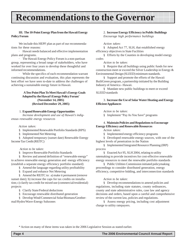#### **III. The 10-Point Energy Plan from the Hawaii Energy Policy Forum**

We include this HEPF plan as part of our recommendations for these reasons:

· Hawaii needs balanced and effective implementation plans and programs.

· The Hawaii Energy Policy Forum is a non-partisan group, representing a broad range of stakeholders, who have worked for over four years to develop these thoughtful and informed recommendations.

· While the specifics of each recommendation warrant continuing discussion and evaluation, this plan represents the best effort we have seen to-date to address the challenges of achieving a sustainable energy future in Hawaii.

#### **A Ten-Point Plan To Meet Hawaii's Energy Goals Adopted by the Hawai'i Energy Policy Forum\* (November 14, 2005) (Revised December 29, 2005)**

#### 1. **Expand Renewable Energy Opportunities**

*Increase development and use of Hawaii's indigenous renewable energy resources*

#### *Action taken:*

§ Implemented Renewable Portfolio Standards (RPS)

§ Implemented Net Metering

§ Adopted temporary (sunset date) Renewable Energy Income Tax Credit (REITC)

#### *Action to be taken:*

§ Improve Renewable Portfolio Standards

§ Review and amend definition of "renewable energy" to achieve renewable energy generation and energy efficiency (establish a separate energy efficiency portfolio standard)

§ Amend the language regarding utility profitability

§ Expand and enhance Net Metering

§ Amend the REITC to: a) make it permanent (remove sunset date); b) increase the caps for tax credits on installation; c) clarify tax credit for mixed use (commercial/residential) projects

§ Clarify State/Federal deductions

§ Encourage renewable distributed generation

§ Develop Wind/Commercial Solar/Biomass/Geothermal/Hydro/Wave-Energy Subzones

#### 2. **Increase Energy Efficiency in Public Buildings**

*Encourage high performance buildings*

#### *Action taken:*

§ Adopted Act 77, SLH, that established energy efficiency objectives in State Facilities

§ Efforts by the Counties in developing model energy codes

#### *Action to be taken:*

§ Require that all buildings using public funds for new construction meet or exceed the Silver Leadership in Energy & Environmental Design (SLEED) minimum standards.

§ Support and promote the efforts of the Hawaii BuiltGreen program, a partnership initiated by the Building Industry of America - Hawaii.

§ Mandate new public buildings to meet or exceed SLEED standards

#### 3. **Increase the Use of Solar Water Heating and Energy Efficient Appliances**

*Action to be taken:*

§ Implement "Pay As You Save" programs

#### 4. **Maintain Policies and Regulations to Encourage Energy Efficiency and Renewable Resources**

*Action taken:*

§ Implemented energy efficiency programs

§ Developed renewable energy sources, with one of the highest levels of penetration in the Nation

§ Implemented Integrated Resource Planning (IRP) process

§ Enacted Act 95, SLH 2004, relating to utility ratemaking to provide incentives for cost-effective renewable energy resources to meet the renewable portfolio standards

§ Public Utilities Commission initiated policymaking proceedings to consider distributed generation, energy efficiency, competitive bidding, and interconnection standards

#### *Action to be taken:*

§ Develop recommendations to amend policies and regulations, including state statutes, county ordinances, county and state administrative rules, case law and agency decisions and orders, based upon a careful and comprehensive review of the current law, policies and regulations.

§ Assess energy pricing, including cost adjustment charge to utility ratepayers.

\* Action on many of these items was taken in the 2006 Legislative Session as stated earlier.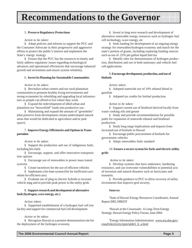#### 5. **Preserve Regulatory Protections**

#### *Action to be taken:*

§ Adopt policies and reforms to support the PUC and the Consumer Advocate in their progressive and aggressive efforts to protect the public's interest and implement the State's energy strategy

§ Ensure that the PUC has the resources to timely and fairly address regulatory issues regarding technological advances and operational efficiencies that encourage balanced growth and investment and ensure system reliability.

#### 6. **Invest In Planning for Sustainable Communities**

#### *Action to be taken:*

§ Revitalize urban centers and our rural plantation communities to promote healthy living environments and strong economies by rebuilding and upgrading local infrastructure so people can afford to live where they work.

§ Expand the redevelopment of idled urban and plantation era "brownfield" lands into productive use.

§ Maintaining and expand the amount of "greenbelts" (that preserve from development certain undeveloped natural areas that would be dedicated to agriculture and/or park space).

#### 7. **Improve Energy Efficiencies and Options in Transportation**

#### *Action to be taken:*

§ Support the production and use of indigenous fuels, including bio-fuels

§ Encourage, support, and offer innovative transportation options

§ Encourage use of renewables to power mass transit systems

§ Create incentives for the use of efficient vehicles

§ Implement a fee-bate system (fee for inefficient cars/ rebate for efficient cars)

§ Evaluate use of plug-in electric hybrids to increase vehicle mpg and to provide peak power to the utility grids

#### 8. **Support research and development of alternative fuels (hydrogen, wave energy, etc.)**

#### *Action taken:*

§ Supported establishment of a hydrogen fuel cell test facility and support for commercial fuel cell development

#### *Action to be taken:*

§ Recognize Hawaii as a premier demonstration site for the deployment of the hydrogen economy.

§ Invest in long term research and development of alternative renewable energy resources such as hydrogen fuel cell technology, wave energy, etc

§ Seek funding for development of an ongoing energy strategy for renewables/hydrogen economy and match for the state's portion of grants, including exploring funding sources such as use of .25% per gallon liquid fuel tax

§ Identify sites for demonstration of hydrogen production, distribution and use in both stationary and vehicle fuel cell applications

#### 9. **Encourage development, production, and use of biofuels**

#### *Action taken:*

§ Adopted statewide use of 10% ethanol blend in gasoline

§ Adopted tax credits for biofuel production

#### *Action to be taken:*

§ Support current use of biodiesel derived locally from waste cooking oils and grease

§ Study and provide recommendations for possible paths for expansion of statewide ethanol and biodiesel production

§ Study long range implications and impacts from increased use of biofuels in Hawaii

§ Encourage public procurement of biofuels for government vehicles

§ Adopt renewables fuels standard

#### 10. **Ensure a secure system for fuels and electric utility grids**

#### *Action to be taken:*

§ Develop systems that have endurance, hardening resistance, and can overcome vulnerabilities to potential acts of terrorism and natural disasters such as hurricanes and tsunamis.

§ Provide guidance to PUC to allow recovery of utility investments that improve grid security.

#### **Sources**

<sup>1</sup>State of Hawaii Energy Resources Coordinator, Annual Report 2005, DBEDT

2 Hawaii at the Crossroads: A Long-Term Energy Strategy, Hawaii Energy Policy Forum, June 2004

<sup>3</sup>Energy Information Administration: www.eia.doe.gov/ cneaf/electricity/epm/table5\_6\_a.html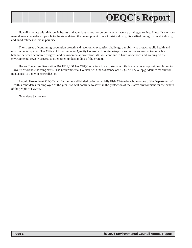### **OEQC's Report**

Hawaii is a state with rich scenic beauty and abundant natural resources in which we are privileged to live. Hawaii's environmental assets have drawn people to the state, driven the development of our tourist industry, diversified our agricultural industry, and lured retirees to live in paradise.

The stresses of continuing population growth and economic expansion challenge our ability to protect public health and environmental quality. The Office of Environmental Quality Control will continue to pursue creative endeavors to find a fair balance between economic progress and environmental protection. We will continue to have workshops and training on the environmental review process to strengthen understanding of the system.

House Concurrent Resolution 202 HD1,SD1 has OEQC on a task force to study mobile home parks as a possible solution to Hawaii's affordable housing crisis. The Environmental Council, with the assistance of OEQC, will develop guidelines for environmental justice under Senate Bill 2145.

I would like to thank OEQC staff for their unselfish dedication especially Elsie Watanabe who was one of the Department of Health's candidates for employee of the year. We will continue to assist in the protection of the state's environment for the benefit of the people of Hawaii.

Genevieve Salmonson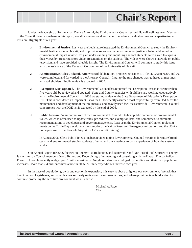

Under the leadership of former chair Denise Antolini, the Environmental Council served Hawaii well last year. Members of the Council, listed elsewhere in this report, are all volunteers and each contributed much valuable time and expertise to our mission. Highlights of our year:

- **Environmental Justice.** Last year the Legislature instructed the Environmental Council to study the Environmental Justice issue in Hawaii, and to provide assurance that environmental justice is being addressed in environmental impact review. To gain understanding and input, high school students were asked to express their views by preparing short video presentations on the subject. The videos were shown statewide on public television, and have provided valuable insight. The Environmental Council will continue to study this issue with the assistance of the Research Corporation of the University of Hawaii..
- **Administrative Rules Updated.** After years of deliberation, proposed revisions to Title 11, Chapters 200 and 201 were completed and forwarded to the Attorney General. Input to the rule changes was gathered at meetings with stakeholders. Public review is expected in 2007.
- **Exemption Lists Updated.** The Environmental Council has requested that Exemption Lists that are more than five years old, be reviewed and updated. State and County agencies with old lists are working cooperatively with the Environmental Council. In 2006 we started review of the State Department of Education's Exemption List. This is considered an important list as the DOE recently assumed most responsibility from DAGS for the maintenance and development of their numerous, and heavily used facilities statewide. Environmental Council concurrence with the DOE list is expected by the end of 2006.
- **Public Liaison.** An important role of the Environmental Council is to hear public comment on environmental issues, which is often used to update rules, procedures, and exemption lists, and sometimes, to stimulate recommendations to developers and government agencies. Last year, the Environmental Council took comments on the Turtle Bay development resumption, the Kailua Reservoir Emergency mitigation, and the US Air Force proposal to use Keahole Airport for C-17 aircraft training.

In August 2006, Olelo Public Television began video taping Environmental Council meetings for future broadcasts, and environmental studies students often attend our meetings to gain experience of how the system works.

Our Annual Report for 2006 focuses on Energy Use Reduction, and Renewable and Non-Fossil Fuel Sources of energy. It is written by Council members David Bylund and Robert King, after meeting and consulting with the Hawaii Energy Policy Forum. Honolulu recently nudged past 1 million residents. Neighbor Islands are deluged by building and their own population increases. More than 7.4 million visitors came in 2005. Military expenditures increase each year.

In the face of population growth and economic expansion, it is easy to abuse or ignore our environment. We ask that the Governor, Legislators, and other leaders seriously review our recommendations, and where possible, take bold action to continue protecting the sensitive environment we all cherish.

> Michael A. Faye Chair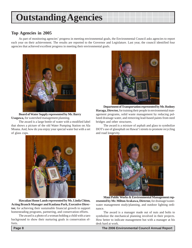### **Outstanding Agencies**

#### **Top Agencies in 2005**

As part of monitoring agencies' progress in meeting environmental goals, the Environmental Council asks agencies to report each year on their achievement. The results are reported to the Governor and Legislature. Last year, the council identified four agencies that achieved excellent progress in meeting their environmental goals.



**Board of Water Supply represented by Mr. Barry Usagawa,** for watershed management planning.

The award is a large bottle of water with a modified label that shows a picture of the old Water Pumping Station on Ala Moana. And, how do you enjoy your special water but with a set of glass cups.



**Hawaiian Home Lands represented by Ms. Linda Chinn, Acting Branch Manager and Kaulana Park, Executive Director,** for achieving their sustainable financial growth to support homesteading programs, partnering, and conservation efforts.

The award is a photo of a woman holding a child with a taro background to show their nurturing goals in conservation efforts.



Department of Transportation represented by Mr. Rodney **Haraga, Director,** for training their people in environmental management programs, solid waste management by reducing polluted drainage water, and removing lead-based paints from steel bridges and other structures.

The award is a mixture of asphalt and glass to symbolize DOT's use of glassphalt on Hawai'i streets to promote recycling and road longevity.



**Maui Public Works & Environmental Management represented by Mr. Milton Arakawa, Director,** for drainage/wastewater management study/planning, and outdoor lighting ordinance.

The award is a manager made out of nuts and bolts to symbolize the mechanical planning involved in their projects. How better to indicate management but with a manager at his desk hard at work.

 **Page 8 The 2006 Environmental Council Annual Report**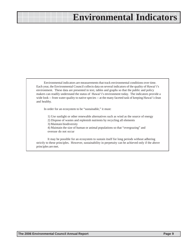Environmental indicators are measurements that track environmental conditions over time. Each year, the Environmental Council collects data on several indicators of the quality of Hawai'i's environment. These data are presented in text, tables and graphs so that the public and policy makers can readily understand the status of Hawai'i's environment today. The indicators provide a wide look -- from water quality to native species -- at the many faceted task of keeping Hawai'i clean and healthy.

In order for an ecosystem to be "sustainable," it must:

1) Use sunlight or other renewable alternatives such as wind as the source of energy

2) Dispose of wastes and replenish nutrients by recycling all elements

3) Maintain biodiversity

4) Maintain the size of human or animal populations so that "overgrazing" and overuse do not occur

It may be possible for an ecosystem to sustain itself for long periods without adhering strictly to these principles. However, sustainability in perpetuity can be achieved only if the above principles are met.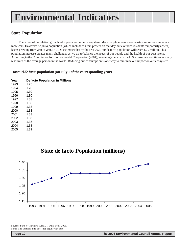#### **State Population**

The stress of population growth adds pressure on our ecosystem. More people means more wastes, more housing areas, more cars. Hawai'i's *de facto* population (which include visitors present on that day but excludes residents temporarily absent) keeps growing from year to year. DBEDT estimates that by the year 2020 our de facto population will reach 1.72 million. This population increase creates many challenges as we try to balance the needs of our people and the health of our ecosystem. According to the Commission for Environmental Cooperation (2001), an average person in the U.S. consumes four times as many resources as the average person in the world. Reducing our consumption is one way to minimize our impact on our ecosystem.

#### **Hawai'i** *de facto* **population (on July 1 of the corresponding year)**

| <b>Defacto Population in Millions</b> |
|---------------------------------------|
| 1.26                                  |
| 1.28                                  |
| 1.30                                  |
| 1.30                                  |
| 1.33                                  |
| 1.33                                  |
| 1.33                                  |
| 1.33                                  |
| 1.33                                  |
| 1.35                                  |
| 1.36                                  |
| 1.38                                  |
| 1.39                                  |
|                                       |



Source: State of Hawai'i, DBEDT Data Book 2005. Note: The vertical axis does not begin with zero.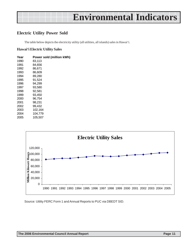#### **Electric Utility Power Sold**

The table below depicts the electricity utility (all utilities, all islands) sales in Hawai'i.

#### **Hawai'i Electric Utility Sales**

| Year | Power sold (million kWh) |  |
|------|--------------------------|--|
| 1990 | 83,113                   |  |
| 1991 | 84.656                   |  |
| 1992 | 86,671                   |  |
| 1993 | 86.609                   |  |
| 1994 | 89.280                   |  |
| 1995 | 91,524                   |  |
| 1996 | 94.299                   |  |
| 1997 | 93.580                   |  |
| 1998 | 92.581                   |  |
| 1999 | 93,450                   |  |
| 2000 | 96.754                   |  |
| 2001 | 98.231                   |  |
| 2002 | 99.432                   |  |
| 2003 | 102.164                  |  |
| 2004 | 104,779                  |  |
| 2005 | 105.507                  |  |



Source: Utility FERC Form 1 and Annual Reports to PUC via DBEDT SID.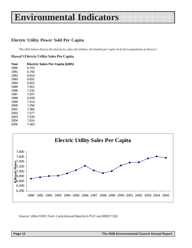#### **Electric Utility Power Sold Per Capita**

The table below depicts the electricity sales (all utilities, all islands) per capita of *de facto* population in Hawai'i.

#### **Hawai'i Electric Utility Sales Per Capita**

| Year |       | Electric Sales Per Capita (kWh) |
|------|-------|---------------------------------|
| 1990 | 6,703 |                                 |
| 1991 | 6,760 |                                 |
| 1992 | 6,816 |                                 |
| 1993 | 6,831 |                                 |
| 1994 | 6,922 |                                 |
| 1995 | 7,051 |                                 |
| 1996 | 7,232 |                                 |
| 1997 | 7,047 |                                 |
| 1998 | 6,939 |                                 |
| 1999 | 7,013 |                                 |
| 2000 | 7,250 |                                 |
| 2001 | 7,366 |                                 |
| 2002 | 7,377 |                                 |
| 2003 | 7,535 |                                 |
| 2004 | 7,614 |                                 |
| 2005 | 7,563 |                                 |



Source: Utility FERC Form 1 and Annual Reports to PUC via DBEDT SID.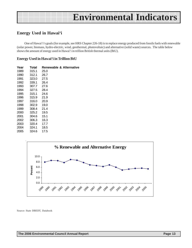#### **Energy Used in Hawai'i**

One of Hawai'i's goals (for example, see HRS Chapter 226-18) is to replace energy produced from fossils fuels with renewable (solar power, biomass, hydro-electric, wind, geothermal, photovoltaic) and alternative (solid waste) sources. The table below shows the amount of energy used in Hawai'i in trillion British thermal units (BtU).

#### **Energy Used in Hawai'i in Trillion BtU**

| Year | Total | <b>Renewable &amp; Alternative</b> |
|------|-------|------------------------------------|
| 1989 | 315.1 | 25.0                               |
| 1990 | 312.1 | 26.7                               |
| 1991 | 323.0 | 27.5                               |
| 1992 | 339.1 | 26.4                               |
| 1993 | 307.7 | 27.6                               |
| 1994 | 327.5 | 28.4                               |
| 1995 | 315.1 | 24.6                               |
| 1996 | 315.9 | 21.9                               |
| 1997 | 316.0 | 20.9                               |
| 1998 | 302.9 | 19.0                               |
| 1999 | 308.4 | 21.4                               |
| 2000 | 325.2 | 19.5                               |
| 2001 | 304.6 | 15.1                               |
| 2002 | 306.3 | 16.3                               |
| 2003 | 320.4 | 17.7                               |
| 2004 | 324.1 | 18.5                               |
| 2005 | 324.6 | 17.5                               |



Source: State DBEDT, Databook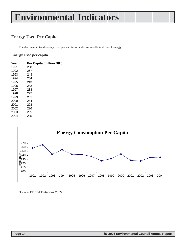### **Energy Used Per Capita**

The decrease in total energy used per capita indicates more efficient use of energy.

#### **Energy Used per capita**

| Year | Per Capita (million BtU) |  |
|------|--------------------------|--|
| 1991 | 258                      |  |
| 1992 | 267                      |  |
| 1993 | 243                      |  |
| 1994 | 254                      |  |
| 1995 | 243                      |  |
| 1996 | 242                      |  |
| 1997 | 238                      |  |
| 1998 | 227                      |  |
| 1999 | 231                      |  |
| 2000 | 244                      |  |
| 2001 | 228                      |  |
| 2002 | 226                      |  |
| 2003 | 235                      |  |
| 2004 | 235                      |  |



Source: DBEDT Databook 2005.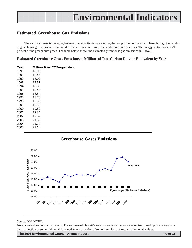#### **Estimated Greenhouse Gas Emissions**

The earth's climate is changing because human activities are altering the composition of the atmosphere through the buildup of greenhouse gases, primarily carbon dioxide, methane, nitrous oxide, and chlorofluorocarbons. The energy sector produces 90 percent of the greenhouse gases. The table below shows the estimated greenhouse gas emissions in Hawai'i.

#### **Estimated Greenhouse Gases Emissions in Millions of Tons Carbon Dioxide Equivalent by Year**

| Year | <b>Million Tons CO2-equivalent</b> |  |
|------|------------------------------------|--|
| 1990 | 18.00                              |  |
| 1991 | 18.45                              |  |
| 1992 | 18.02                              |  |
| 1993 | 17.57                              |  |
| 1994 | 18.88                              |  |
| 1995 | 18.48                              |  |
| 1996 | 18.84                              |  |
| 1997 | 18.78                              |  |
| 1998 | 18.83                              |  |
| 1999 | 18.59                              |  |
| 2000 | 19.59                              |  |
| 2001 | 19.84                              |  |
| 2002 | 19.59                              |  |
| 2003 | 21.68                              |  |
| 2004 | 21.88                              |  |
| 2005 | 21.11                              |  |



#### Source: DBEDT SID.

Note: Y axis does not start with zero. The estimate of Hawaii's greenhouse gas emissions was revised based upon a review of all data, collection of some additional data, update or correction of some formulas, and recalculation of all values.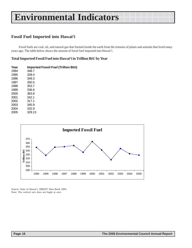### **Fossil Fuel Imported into Hawai'i**

Fossil fuels are coal, oil, and natural gas that formed inside the earth from the remains of plants and animals that lived many years ago. The table below shows the amount of fossil fuel imported into Hawai'i.

#### **Total Imported Fossil Fuel into Hawai'i in Trillion BtU by Year**

| Year | <b>Imported Fossil Fuel (Trillion BtU)</b> |  |
|------|--------------------------------------------|--|
| 1994 | 348.7                                      |  |
| 1995 | 328.4                                      |  |
| 1996 | 349.3                                      |  |
| 1997 | 350.5                                      |  |
| 1998 | 353.7                                      |  |
| 1999 | 336.6                                      |  |
| 2000 | 363.8                                      |  |
| 2001 | 342.1                                      |  |
| 2002 | 317.1                                      |  |
| 2003 | 345.9                                      |  |
| 2004 | 332.9                                      |  |
| 2005 | 329.13                                     |  |



Source: State of Hawai'i, DBEDT Data Book 2005. Note: The vertical axis does not begin at zero.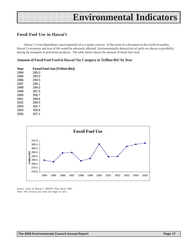#### **Fossil Fuel Use in Hawai'i**

Hawai'i's over-dependence upon imported oil is a major concern. In the event of a disruption in the world oil market, Hawai'i's economy and way of life would be adversely affected. Environmentally destructive oil spills are always a possibility during the transport of petroleum products. The table below shows the amount of fossil fuel used.

#### **Amount of Fossil Fuel Used in Hawai'i by Category in Trillion BtU by Year**

| Year | <b>Fossil Fuel Use (Trillion BtU)</b> |  |
|------|---------------------------------------|--|
| 1994 | 285.0                                 |  |
| 1995 | 283.0                                 |  |
| 1996 | 294.5                                 |  |
| 1997 | 295.1                                 |  |
| 1998 | 284.0                                 |  |
| 1999 | 287.0                                 |  |
| 2000 | 305.7                                 |  |
| 2001 | 289.6                                 |  |
| 2002 | 290.0                                 |  |
| 2003 | 302.7                                 |  |
| 2004 | 305.6                                 |  |
| 2005 | 307.1                                 |  |



Source: State of Hawai'i, DBEDT Data Book 2005. Note: The vertical axis does not begin at zero.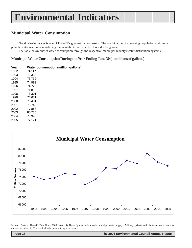#### **Municipal Water Consumption**

Good drinking water is one of Hawai'i's greatest natural assets. The combination of a growing population and limited potable water resources is reducing the availability and quality of our drinking water.

The table below shows water consumption through the respective municipal (county) water distribution systems.

#### **Municipal Water Consumption During the Year Ending June 30 (in millions of gallons)**

| Year | Water consumption (million gallons) |  |
|------|-------------------------------------|--|
| 1992 | 74,117                              |  |
| 1993 | 73,338                              |  |
| 1994 | 73,732                              |  |
| 1995 | 74,992                              |  |
| 1996 | 74,728                              |  |
| 1997 | 71,810                              |  |
| 1998 | 73,301                              |  |
| 1999 | 76,631                              |  |
| 2000 | 76,401                              |  |
| 2001 | 78,748                              |  |
| 2002 | 77,868                              |  |
| 2003 | 80,735                              |  |
| 2004 | 78,345                              |  |
| 2005 | 77,171                              |  |



Source: State of Hawai'i Data Book 2005. Note: i) These figures include only municipal water supply. Military, private and plantation water systems are not included. ii) The vertical axis does not begin at zero.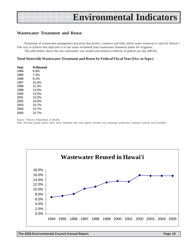#### **Wastewater Treatment and Reuse**

Promotion of wastewater management practices that protect, conserve and fully utilize water resources is vital for Hawai'i. One way to achieve this objective is to use water reclaimed from wastewater treatment plants for irrigation.

The table below shows the rate wastewater was treated and reused in millions of gallons per day (MGD).

#### **Total Statewide Wastewater Treatment and Reuse by Federal Fiscal Year (Oct. to Sept.)**

| Year | % Reused |
|------|----------|
| 1994 | 6.9%     |
| 1995 | 7.4%     |
| 1996 | 8.2%     |
| 1997 | 10.4%    |
| 1998 | 11.3%    |
| 1999 | 13.0%    |
| 2000 | 13.5%    |
| 2001 | 13.3%    |
| 2002 | 16.0%    |
| 2003 | 15.7%    |
| 2004 | 15.7%    |
| 2005 | 15.7%    |

Source: Hawai'i Department of Health.

Note: Previous annual reports show lower treatment and reuse figures because only municipal wastewater treatment systems were included.

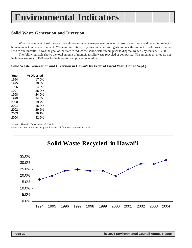#### **Solid Waste Generation and Diversion**

Wise management of solid waste through programs of waste prevention, energy resource recovery, and recycling reduces human impact on the environment. Waste minimization, recycling and composting also reduce the amount of solid waste that we send to our landfills. It was the goal of the state to reduce the solid waste stream prior to disposal by 50% by January 1, 2000.

The following table shows the total amount of municipal solid waste recycled or composted. The amounts diverted do not include waste sent to H-Power for incineration and power generation.

#### **Solid Waste Generation and Diversion in Hawai'i by Federal Fiscal Year (Oct. to Sept.)**

| Year | % Diverted |
|------|------------|
| 1994 | 17.0%      |
| 1995 | 20.0%      |
| 1996 | 24.0%      |
| 1997 | 25.0%      |
| 1998 | 24.0%      |
| 1999 | 24.0%      |
| 2000 | 19.7%      |
| 2001 | 25.0%      |
| 2002 | 29.6%      |
| 2003 | 29.1%      |
| 2004 | 32.5%      |

Source: Hawai'i Department of Health

Note: The 2000 numbers are partial as not all facilities reported to DOH.

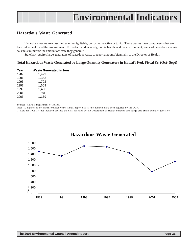#### **Hazardous Waste Generated**

Hazardous wastes are classified as either ignitable, corrosive, reactive or toxic. These wastes have components that are harmful to health and the environment. To protect worker safety, public health, and the environment, users of hazardous chemicals must minimize the amount of waste they generate.

State law requires large generators of hazardous waste to report amounts biennially to the Director of Health.

#### **Total Hazardous Waste Generated by Large Quantity Generators in Hawai'i Fed. Fiscal Yr. (Oct- Sept)**

| Year | Waste Generated in tons |
|------|-------------------------|
| 1989 | 1,499                   |
| 1991 | 1,343                   |
| 1993 | 1,702                   |
| 1997 | 1,669                   |
| 1999 | 1,456                   |
| 2001 | 781                     |
| 2003 | 1,139                   |

Source: Hawai'i Department of Health.

Note: i) Figures do not match previous years' annual report data as the numbers have been adjusted by the DOH.

ii) Data for 1995 are not included because the data collected by the Department of Health includes both **large and small** quantity generators.

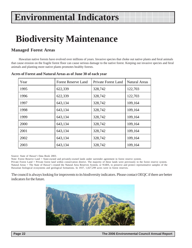### **Biodiversity Maintenance**

#### **Managed Forest Areas**

Hawaiian native forests have evolved over millions of years. Invasive species that choke out native plants and feral animals that cause erosion on the fragile forest floor can cause serious damage to the native forest. Keeping out invasive species and feral animals and planting more native plants promotes healthy forests.

| Year | <b>Forest Reserve Land</b> | <b>Private Forest Land</b> | <b>Natural Areas</b> |
|------|----------------------------|----------------------------|----------------------|
| 1995 | 622,339                    | 328,742                    | 122,703              |
| 1996 | 622,339                    | 328,742                    | 122,703              |
| 1997 | 643,134                    | 328,742                    | 109,164              |
| 1998 | 643,134                    | 328,742                    | 109,164              |
| 1999 | 643,134                    | 328,742                    | 109,164              |
| 2000 | 643,134                    | 328,742                    | 109,164              |
| 2001 | 643,134                    | 328,742                    | 109,164              |
| 2002 | 643,134                    | 328,742                    | 109,164              |
| 2003 | 643,134                    | 328,742                    | 109,164              |

#### **Acres of Forest and Natural Areas as of June 30 of each year**

Source: State of Hawai'i Data Book 2003.

Note: Forest Reserve Land = State-owned and privately-owned lands under surrender agreement in forest reserve system.

Private Forest Land = Private forest land within conservation district. The majority of these lands were previously in the forest reserve system. Natural Areas = The State of Hawai'i created the Natural Area Reserves System, or NARS, to preserve and protect representative samples of the Hawaiian biological ecosystems and geological formations. In 1937, 1,027,299 acres were in forest reserves.

The council is always looking for improvents to its biodiversity indicators. Please contact OEQC if there are better indicators for the future.

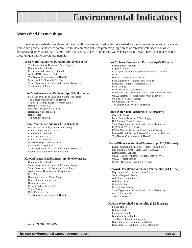#### **Watershed Partnerships**

Forested watersheds provide us with nearly all of our state's fresh water. Watershed Partnerships are voluntary alliances of public and private landowners committed to the common value of protecting large areas of forested watersheds for water recharge and other values. As of 2006, more than 725,000 acres of important watershed areas in Hawai'i have been placed within these unique public-private partnerships

#### **West Maui Watershed Partnership (50,000 acres)**

The Maui County Board of Water Supply Kamehameha Schools C. Brewer and Company Limited Amfac/JMB Hawai'i, L.L.C. The Nature Conservancy of Hawai'i Maui Land & Pineapple Co., Inc. State Department of Land and Natural Resources The County of Maui

#### **East Maui Watershed Partnership (100,000+ acres)**

State Department of Land and Natural Resources The Nature Conservancy of Hawai'i The Maui County Board of Water Supply Haleakala Ranch Co. East Maui Irrigation Co., Ltd. Haleakala National Park Hana Ranch The County of Maui

#### **Kaua`i Watershed Alliance (75,000 acres)**

Ben A. Dyre Family Limited Partnership Kaua`i Department of Water Kamehameha Schools Kaua`i Ranch, LLC Lihue Land Company McBryde Sugar Company, Ltd. Princeville Corporation State Department of Land and Natural Resources Grove Farm Company, Incorporated

#### **Ko'olau Watershed Partnership (50,000+ acres)**

Kamehameha Schools State Department of Land and Natural Resources State Department of Hawaiian Home Lands Agribusiness Development Corporation U.S. Army Honolulu Board of Water Supply Queen Emma Foundation Bishop Museum Manana Valley Farm LLC Tiana Partners Dole Food Co., Inc. The Nature Conservancy of Hawai'i

#### **East Moloka'i Watershed Partnership (5,000 acres)**

Kamehameha Schools Kapualei Ranch Ke Aupuni Lokahi Enterprise Community Gov Bd EPA Hawai'i Department of Health State Division of Forestry and Wildlife Kalaupapa National Historical Park Maui County Maui Board of Water Supply Moloka'i-Lana'i Soil and Water Conservation District USDA Natural Resource Conservation Services US Fish & Wildlife Service US Geological Services The Nature Conservancy of Hawai'i

#### **Lanai Watershed Partnership (3,580 acres)**

Castle & Cooke Maui County Board of Water Supply Hui Malama Pono O Lana'i State Department of Land and Natural Resources US Fish & Wildlife Service USDA Natural Resources Conservation Service Molokai-Lanai Soil and Water Conservation District The Nature Conservancy of Hawai'i

#### **Ola'a-Kilauea Watershed Partnership (420,000 acres)**

Kulani Correctional Facility - State, Public Safety Puu Maka'ala NAR - State, DLNR DOFAW Kamehameha Schools USDI - Hawaii Volcanoes National Park Service USDA - Forest Service USGS - Biological Resources Division

#### **Leeward Haleakala Watershed Partnership (43,175 ac.)**

Department of Hawaiian Home Lands James Campbell Estate Haleakala National Park Haleakala Ranch Kaonoulu Ranch Nu'u Mauka Ranch State Department of Land and Natural Resources Ulupalakua Ranch John Zwaanstra

#### **Kohala Watershed Partnership (31,325 acres)**

Parker Ranch Kahua Ranch Ponoholo Ranch Kamehameha Schools The Queen Emma Foundation Department of Hawaiian Homelands Source: DLNR, DOFAW Department of Land and Natural Resources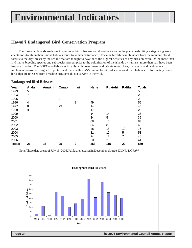#### **Hawai'i Endangered Bird Conservation Program**

The Hawaiian Islands are home to species of birds that are found nowhere else on the planet, exhibiting a staggering array of adaptations to life in their unique habitats. Prior to human disturbance, Hawaiian birdlife was abundant from the montane cloud forests to the dry forests by the sea in what are thought to have been the highest densities of any birds on earth. Of the more than 140 native breeding species and subspecies present prior to the colonization of the islands by humans, more than half have been lost to extinction. The DOFAW collaborates broadly with government and private researchers, managers, and landowners to implement programs designed to protect and recover Hawai'i's unique forest bird species and their habitats. Unfortunately, some birds that are released from breeding programs do not survive in the wild.

#### **Endangered Bird Releases**

| Year<br>1993  | <b>Alala</b><br>5 | Amakhi | Omao | liwi           | <b>Nene</b> | Puaiohi | Palila | <b>Totals</b><br>5 |
|---------------|-------------------|--------|------|----------------|-------------|---------|--------|--------------------|
| 1994          | 7                 | 16     |      |                |             |         |        | 23                 |
| 1995          |                   |        | 2    |                |             |         |        | 2                  |
| 1996          | 4                 |        |      | $\overline{2}$ | 49          |         |        | 55                 |
| 1997          | 8                 |        | 23   |                | 14          |         |        | 45                 |
| 1998          | 3                 |        |      |                | 17          |         |        | 20                 |
| 1999          |                   |        |      |                | 14          | 14      |        | 28                 |
| 2000          |                   |        |      |                | 34          | 5       |        | 39                 |
| 2001          |                   |        |      |                | 68          | 15      |        | 83                 |
| 2002          |                   |        |      |                | 34          | 8       |        | 42                 |
| 2003          |                   |        |      |                | 48          | 18      | 10     | 76                 |
| 2004          |                   |        |      |                | 31          | 17      | 5      | 53                 |
| 2005          |                   |        |      |                | 24          | 17      | 7      | 48                 |
| 2006          |                   |        |      |                | 20          | 21      |        | 41                 |
| <b>Totals</b> | 27                | 16     | 25   | 2              | 353         | 115     | 22     | 560                |

Note: These data are as of July 15, 2006. Palila are released in December. Source: DLNR, DOFAW.



 **Page 24 The 2006 Environmental Council Annual Report**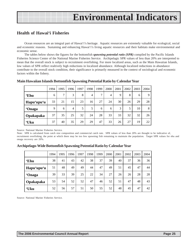#### **Health of Hawai'i Fisheries**

Ocean resources are an integral part of Hawai'i's heritage. Aquatic resources are extremely valuable for ecological, social and economic reasons. Sustaining and enhancing Hawai'i's living aquatic resources and their habitats make environmental and economic sense.

The tables below shows the figures for the bottomfish *spawning potential ratio (SPR)* compiled by the Pacific Islands Fisheries Science Center of the National Marine Fisheries Service. Archipelagic SPR values of less than 20% are interpreted to mean that the overall stock is subject to recruitment overfishing. For more localized areas, such as the Main Hawaiian Islands, low values of SPR reflect realtively high reductions in localized abundance. Although localized reductions in abundance contribute to the overall stock condition, their significance is primarily measured in the context of sociological and economic factors within the fishery.

|               | 1994 | 1995          | 1996 | 1997 | 1998 | 1999          | 2000 | 2001 | 2002 | 2003 | 2004 |
|---------------|------|---------------|------|------|------|---------------|------|------|------|------|------|
| <b>'Ehu</b>   | 6    | $\mathcal{I}$ | 3    | 8    | 4    | $\mathcal{I}$ | 4    | 9    | 8    | 6    | 9    |
| Hapu'upu'u    | 33   | 21            | 15   | 23   | 16   | 27            | 24   | 30   | 26   | 29   | 28   |
| <b>'Onaga</b> | 9    | 6             | 4    | 5    | 5    | 6             | 6    | 3    | 5    | 10   | 8    |
| Opakapaka     | 37   | 35            | 25   | 32   | 24   | 28            | 33   | 33   | 32   | 32   | 26   |
| 'Uku          | 37   | 40            | 35   | 29   | 29   | 47            | 33   | 26   | 27   | 19   | 22   |

#### **Main Hawaiian Islands Bottomfish Spawning Potential Ratio by Calendar Year**

Source: National Marine Fisheries Service.

Note: SPR is calculated from catch size composition and commercial catch rate. SPR values of less than 20% are thought to be indicative of, recruitment overfishing, the point at which there may be too few spawning fish remaining to maintain the population. Target SPR values for ehu and onaga recovery are 20%.

#### **Archipelago-Wide Bottomfish Spawning Potential Ratio by Calendar Year**

|               | 1994 | 1995 | 1996 | 1997 | 1998 | 1999 | 2000 | 2001 | 2002 | 2003 | 2004 |
|---------------|------|------|------|------|------|------|------|------|------|------|------|
| <b>'Ehu</b>   | 38   | 41   | 43   | 42   | 38   | 37   | 39   | 40   | 37   | 36   | 36   |
| Hapu'upu'u    | 51   | 48   | 49   | 49   | 44   | 47   | 49   | 51   | 45   | 47   | 44   |
| <b>'Onaga</b> | 39   | 33   | 39   | 25   | 22   | 34   | 27   | 26   | 26   | 28   | 28   |
| Opakapaka     | 53   | 54   | 52   | 52   | 47   | 46   | 52   | 51   | 47   | 48   | 43   |
| 'Uku          | 52   | 56   | 57   | 51   | 50   | 55   | 52   | 48   | 45   | 47   | 42   |

Source: National Marine Fisheries Service.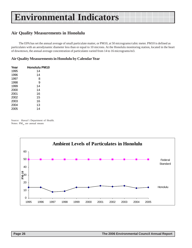#### **Air Quality Measurements in Honolulu**

The EPA has set the annual average of small particulate matter, or PM10, at 50 micrograms/cubic meter. PM10 is defined as particulates with an aerodynamic diameter less than or equal to 10 microns. At the Honolulu monitoring station, located in the heart of downtown, the annual average concentration of particulates varied from 14 to 16 micrograms/m3.

#### **Air Quality Measurements in Honolulu by Calendar Year**

| Year | <b>Honolulu PM10</b> |
|------|----------------------|
| 1995 | 14                   |
| 1996 | 14                   |
| 1997 | 8                    |
| 1998 | 9                    |
| 1999 | 14                   |
| 2000 | 14                   |
| 2001 | 16                   |
| 2002 | 15                   |
| 2003 | 16                   |
| 2004 | 13                   |
| 2005 | 14                   |

Source: Hawai'i Department of Health. Notes:  $PM_{10}$  are annual means

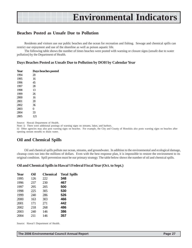#### **Beaches Posted as Unsafe Due to Pollution**

Residents and visitors use our public beaches and the ocean for recreation and fishing. Sewage and chemical spills can restrict our enjoyment and use of the shoreline as well as poison aquatic life.

The following table shows the number of times beaches were posted with warning or closure signs (unsafe due to water pollution) by the Department of Health.

#### **Days Beaches Posted as Unsafe Due to Pollution by DOH by Calendar Year**

| Year | Days beaches posted |
|------|---------------------|
| 1994 | 20                  |
| 1995 | 16                  |
| 1996 | 45                  |
| 1997 | 28                  |
| 1998 | 13                  |
| 1999 | 26                  |
| 2000 | 16                  |
| 2001 | 20                  |
| 2002 | 36                  |
| 2003 | 0                   |
| 2004 | 33                  |
| 2005 | 121                 |

Source: Hawaii Department of Health.

Note: i) There were additional postings of warning signs on streams, lakes, and harbors.

ii) Other agencies may also post warning signs on beaches. For example, the City and County of Honolulu also posts warning signs on beaches after opening stream mouths to drain water.

#### **Oil and Chemical Spills**

Oil and chemical spills pollute our ocean, streams, and groundwater. In addition to the environmental and ecological damage, cleanup costs run into the millions of dollars. Even with the best response plan, it is impossible to restore the environment to its original condition. Spill prevention must be our primary strategy. The table below shows the number of oil and chemical spills.

#### **Oil and Chemical Spills in Hawai'i Federal Fiscal Year (Oct. to Sept.)**

| <b>Year</b> | Oil | <b>Chemical</b> | <b>Total Spills</b> |
|-------------|-----|-----------------|---------------------|
| 1995        | 126 | 222             | 348                 |
| 1996        | 237 | 230             | 467                 |
| 1997        | 295 | 205             | 500                 |
| 1998        | 225 | 305             | 530                 |
| 1999        | 240 | 286             | 526                 |
| 2000        | 163 | 303             | 466                 |
| 2001        | 171 | 271             | 442                 |
| 2002        | 218 | 268             | 486                 |
| 2003        | 240 | 146             | 386                 |
| 2004        | 211 | 146             | 357                 |
|             |     |                 |                     |

Source: Hawai'i Department of Health.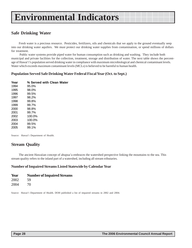#### **Safe Drinking Water**

Fresh water is a precious resource. Pesticides, fertilizers, oils and chemicals that we apply to the ground eventually seep into our drinking water aquifers. We must protect our drinking water supplies from contamination, or spend millions of dollars for treatment.

 Public water systems provide piped water for human consumption such as drinking and washing. They include both municipal and private facilities for the collection, treatment, storage and distribution of water. The next table shows the percentage of Hawai'i's population served drinking water in compliance with maximum microbiological and chemical contaminant levels. Water which exceeds maximum contaminant levels (MCLs) is believed to be harmful to human health.

#### **Population Served Safe Drinking Water Federal Fiscal Year (Oct. to Sept.)**

| Year | % Served with Clean Water |  |
|------|---------------------------|--|
| 1994 | 95.0%                     |  |
| 1995 | 98.0%                     |  |
| 1996 | 99.5%                     |  |
| 1997 | 98.2%                     |  |
| 1998 | 99.8%                     |  |
| 1999 | 99.7%                     |  |
| 2000 | 98.8%                     |  |
| 2001 | 99.7%                     |  |
| 2002 | 100.0%                    |  |
| 2003 | 100.0%                    |  |
| 2004 | 99.5%                     |  |
| 2005 | 99.1%                     |  |

Source: Hawai'i Department of Health.

#### **Stream Quality**

The ancient Hawaiian concept of ahupua'a embraces the watershed perspective linking the mountains to the sea. This stream quality refers to the inland part of a watershed, including all stream tributaries.

#### **Number of Impaired Streams Listed Statewide by Calendar Year**

| Year | <b>Number of Impaired Streams</b> |
|------|-----------------------------------|
| 2002 | 59                                |
| 2004 | 70                                |

Source: Hawai'i Department of Health. DOH published a list of impaired streams in 2002 and 2004.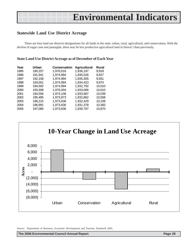#### **Statewide Land Use District Acreage**

There are four land use districts designations for all lands in the state: urban, rural, agricultural, and conservation. With the decline of sugar cane and pineapple, there may be less productive agricultural land in Hawai'i than previously.

#### **State Land Use District Acreage as of December of Each Year**

| Year | Urban   | <b>Conservation</b> | <b>Agricultural</b> | <b>Rural</b> |
|------|---------|---------------------|---------------------|--------------|
| 1995 | 190,257 | 1,976,016           | 1,936,197           | 9,918        |
| 1996 | 191,941 | 1,974,994           | 1,935,526           | 9.927        |
| 1997 | 192,158 | 1,974,994           | 1,935,305           | 9.931        |
| 1998 | 193,001 | 1,974,994           | 1,934,423           | 9.970        |
| 1999 | 194,592 | 1,974,994           | 1,932,792           | 10,010       |
| 2000 | 193,308 | 1,976,004           | 1,933,066           | 10,010       |
| 2001 | 194.556 | 1,974,106           | 1,933,687           | 10,039       |
| 2002 | 195,495 | 1,973,973           | 1,932,862           | 10,058       |
| 2003 | 196,215 | 1,973,636           | 1,932,429           | 10,108       |
| 2004 | 196,991 | 1,973,636           | 1,931,378           | 10,383       |
| 2005 | 197,085 | 1,973,636           | 1,930,797           | 10,870       |
|      |         |                     |                     |              |



Source: Department of Business, Economic Development and Tourism, Databook 2005.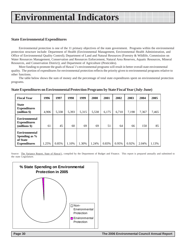#### **State Environmental Expenditures**

Environmental protection is one of the 11 primary objectives of the state government. Programs within the environmental protection structure include: Department of Health (Environmental Management, Environmental Health Administration, and Office of Environmental Quality Control); Department of Land and Natural Resources (Forestry & Wildlife, Commission on Water Resources Management, Conservation and Resources Enforcement, Natural Area Reserves, Aquatic Resources, Mineral Resources, and Conservation District); and Department of Agriculture (Pesticides).

More funding to promote the goals of Hawai`i's environmental programs will result in better overall state environmental quality. The portion of expenditures for environmental protection reflects the priority given to environmental programs relative to other functions.

The table below shows the sum of money and the percentage of total state expenditures spent on environmental protection programs.

| <b>Fiscal Year</b>                                                       | 1996  | 1997  | 1998  | 1999  | 2000  | 2001  | 2002  | 2003  | 2004  | 2005  |
|--------------------------------------------------------------------------|-------|-------|-------|-------|-------|-------|-------|-------|-------|-------|
| <b>State</b><br><b>Expenditures</b><br>(million \$)                      | 4,906 | 5,338 | 5,393 | 5,315 | 5,538 | 6,175 | 6,710 | 7,198 | 7,367 | 7,465 |
| <b>Environmental</b><br><b>Expenditures</b><br>(millions \$)             | 61    | 45    | 60    | 69    | 69    | 51    | 64    | 66    | 150   | 85    |
| <b>Environmental</b><br>Spending as %<br>of State<br><b>Expenditures</b> | 1.25% | 0.85% | 1.10% | 1.30% | 1.24% | 0.83% | 0.95% | 0.92% | 2.04% | 1.13% |

#### **State Expenditures on Environmental Protection Programs by State Fiscal Year (July-June)**

Source: The Variance Report, State of Hawai'i, compiled by the Department of Budget and Finance. This report is prepared annually and submitted to the state Legislature.

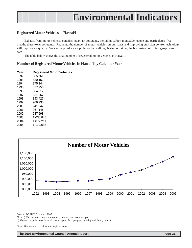

#### **Registered Motor Vehicles in Hawai'i**

Exhaust from motor vehicles contains many air pollutants, including carbon monoxide, ozone and particulates. We breathe these toxic pollutants. Reducing the number of motor vehicles on our roads and improving emission control technology will improve air quality. We can help reduce air pollution by walking, biking or taking the bus instead of riding gas-powered cars.

The table below shows the total number of registered motor vehicles in Hawai'i.

#### **Number of Registered Motor Vehicles In Hawai'i by Calendar Year**

| Year | <b>Registered Motor Vehicles</b> |  |
|------|----------------------------------|--|
| 1992 | 885.761                          |  |
| 1993 | 880,152                          |  |
| 1994 | 875.144                          |  |
| 1995 | 877,756                          |  |
| 1996 | 884.617                          |  |
| 1997 | 884.267                          |  |
| 1998 | 893.427                          |  |
| 1999 | 906.935                          |  |
| 2000 | 941.242                          |  |
| 2001 | 967,146                          |  |
| 2002 | 987.598                          |  |
| 2003 | 1.030.845                        |  |
| 2004 | 1,072,211                        |  |
| 2005 | 1.119,838                        |  |



Source: DBEDT Databook 2005.

Note: i) Carbon monoxide is a colorless, odorless and tasteless gas. ii) Ozone is a poisonous form of pure oxygen. It is pungent smelling and faintly bluish.

Note: The vertical axis does not begin at zero.

**The 2006 Environmental Council Annual Report Council Annual Report Page 31**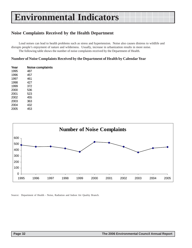#### **Noise Complaints Received by the Health Department**

Loud noises can lead to health problems such as stress and hypertension. Noise also causes distress to wildlife and disrupts people's enjoyment of nature and wilderness. Usually, increase in urbanization results in more noise. The following table shows the number of noise complaints received by the Department of Health.

#### **Number of Noise Complaints Received by the Department of Health by Calendar Year**

| Year | Noise complaints |
|------|------------------|
| 1995 | 487              |
| 1996 | 457              |
| 1997 | 461              |
| 1998 | 427              |
| 1999 | 372              |
| 2000 | 536              |
| 2001 | 523              |
| 2002 | 455              |
| 2003 | 363              |
| 2004 | 432              |
| 2005 | 453              |



Source: Department of Health - Noise, Radiation and Indoor Air Quality Branch.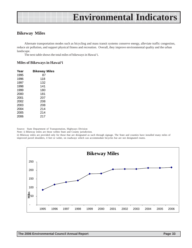#### **Bikeway Miles**

Alternate transportation modes such as bicycling and mass transit systems conserve energy, alleviate traffic congestion, reduce air pollution, and support physical fitness and recreation. Overall, they improve environmental quality and the urban landscape.

The next table shows the total miles of bikeways in Hawai'i.

#### **Miles of Bikeways in Hawai'i**

| <b>Bikeway Miles</b> |
|----------------------|
| 87                   |
| 118                  |
| 132                  |
| 141                  |
| 180                  |
| 181                  |
| 207                  |
| 208                  |
| 208                  |
| 214                  |
| 214                  |
| 217                  |
|                      |

Source: State Department of Transportation, Highways Division

Note: i) Bikeway miles are those within State and County jurisdiction.

ii) Bikeway miles are provided only for those that are designated as such through signage. The State and counties have installed many miles of improved paved shoulders, 4 feet or wider, on roadways which can accommodate bicycles but are not designated routes.

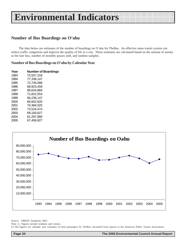### **Number of Bus Boardings on O'ahu**

The data below are estimates of the number of boardings on O`ahu for TheBus. An effective mass transit system can reduce traffic congestion and improve the quality of life in a city. These estimates are calculated based on the amount of money in the fare box, number of monthly passes sold, and random samples.

#### **Number of Bus Boardings on O'ahu by Calendar Year**

| Year | <b>Number of Boardings</b> |  |  |  |
|------|----------------------------|--|--|--|
| 1993 | 75.557.318                 |  |  |  |
| 1994 | 77.338.147                 |  |  |  |
| 1995 | 72.745.086                 |  |  |  |
| 1996 | 68.923.459                 |  |  |  |
| 1997 | 68.634.884                 |  |  |  |
| 1998 | 71,822,553                 |  |  |  |
| 1999 | 66.236.147                 |  |  |  |
| 2000 | 66.602.820                 |  |  |  |
| 2001 | 70.384.025                 |  |  |  |
| 2002 | 73,524,474                 |  |  |  |
| 2003 | 69.100.627                 |  |  |  |
| 2004 | 61.297.980                 |  |  |  |
| 2005 | 67.406.827                 |  |  |  |



Source: DBEDT Databook 2005.

Note: i) Figures include residents and visitors.

ii) The figures are calendar year estimates of total passengers for TheBus calculated from reports to the American Public Transit Association.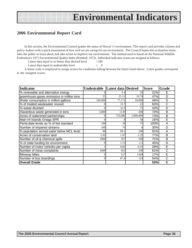### **2006 Environmental Report Card**

In this section, the Environmental Council grades the status of Hawai'i's environment. This report card provides citizens and policy makers with a quick assessment of how well we are caring for our environment. The Council hopes this evaluation stimulates the public to learn about and take action to improve our environment. The method used is based on the National Wildlife Federation's 1971 Environmental Quality Index (Kimball, 1972). Individual indicator scores are assigned as follows:

Latest data equal to or better than desired level  $= 100$ 

Latest data equal to undesirable level  $= 0$ 

A linear scale is employed to assign scores for conditions falling between the limits listed above. Letter grades correspond to the assigned scores.

| <b>Indicator</b>                           | Undesirable | Latest data Desired |           | <b>Score</b> | Grade |
|--------------------------------------------|-------------|---------------------|-----------|--------------|-------|
| % renewable and alternative energy         |             | 5.4                 | 25        | 22%          | Е     |
| greenhouse gases emissions in million tons | 25          | 21.11               | 16.74     | 47%          | D     |
| Water consumption in million gallons       | 100,000     | 77,171              | 50,000    | 46%          | D     |
| % of treated wastewater reused             |             | 15.7                | 25        | 63%          | C     |
| % waste diverted                           |             | 32.5                | 75        | 43%          | D     |
| Hazardous waste generated in tons          | 3,000       | 1139                | 500       | 74%          | B     |
| Acres of watershed partnerships            |             | 725,000             | 1,000,000 | 73%          | B     |
| Main HI Islands Onaga SPR                  |             |                     | 50        | 16%          | E     |
| Particulate levels as % of fed standard    | 100         | 28                  | 75        | 100%         | A     |
| Number of impaired streams                 | 100         | 70                  |           | 30%          | D     |
| % population served water below MCL level  | 90          | 99.1                | 100       | 91%          | A     |
| Acres of conservation land                 | 1.03        | 1.97                | 2.25      | 77%          | B     |
| Number of oil & chemical spills            | 1000        | 357                 | 100       | 71%          | B     |
| % of state funding for environment         |             | 1.13                | 2.5       | 45%          | D     |
| Number of motor vehicles per capita        |             | 0.81                | 0.33      | 28%          | E     |
| Number of noise complaints                 | 1000        | 453                 | 100       | 61%          | C     |
| <b>Bikeway Miles</b>                       |             | 217                 | 1309      | 17%          | E     |
| Number of bus boardings                    |             | 67.4                | 124       | 54%          | С     |
| <b>Overall Grade</b>                       |             |                     |           | 53%          | C     |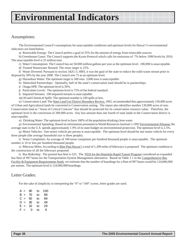### Assumptions:

The Environmental Council's assumptions for unacceptable conditions and optimum levels for Hawai'i's environmental indicators are listed below.

a) Renewable Energy: The Council prefers a goal of 25% for the amount of energy from renewable sources.

b) Greenhouse Gases: The Council supports the Kyoto Protocol which calls for emissions of 7% below 1990 levels by 2010. The unacceptable level is 25 million tons.

c) Water Consumption: The Council has set 50,000 million gallons per year as the optimum level. 100,000 is unacceptable.

d) Treated Wastewater Reused: The reuse target is 25%.

f) Waste Diverted: Pursuant to section 342G-3, HRS, it was the goal of the state to reduce the solid waste stream prior to disposal by 50% by the year 2000. The Council sets 75 as an optimum level.

g) Hazardous Waste: The optimum target is 500 tons. 3,000 tons is unacceptable.

h) Watershed Partnerships: Optimally, half of the state's conservation land should be in partnerships.

i) Onaga SPR: The optimum level is 50%.

j) Particulate Levels: The optimum level is 75% of the federal standard.

l) Impaired Streams: 100 impaired streams is unacceptable.

m) Oil and Chemical Spills: The optimum number is 100 spills or less.

n) Conservation Land: The State Land Use District Boundary Review, 1992, recommended that approximately 150,000 acres of Urban and Agricultural lands be converted to Conservation zoning. The report also identifies another 139,000 acres of non-Conservation land as "Areas of Critical Concern" that should be protected for its conservation resource value. Therefore, the optimum level is the conversion of 289,000 acres. Any less amount than one fourth of state lands in the Conservation district is unacceptable.

o) Drinking Water: The optimum level to have 100% of the population drinking clean water.

p) Environmental Spending: Based on information presented in World Resources Institute's 1992 Environmental Almanac the average state in the U.S. spends approximately 1.9% of its state budget on environmental protection. The optimum level is 2.5%.

q) Motor Vehicles: One motor vehicle per person is unacceptable. The optimum level should be one motor vehicle for every three people (the average household size is three people).

r) Noise Complaints: An average of 100 noise complaints per hundred thousand people is unacceptable. The optimum number is 10 or less per hundred thousand people.

s) Bikeway Miles: According to Bike Plan Hawai'i a total of 1,309 miles of bikeways is proposed. The optimum condition is the construction of all the bikeways proposed.

t) Bus Ridership: The present bus fleet is 525. The FEIS for the Honolulu Rapid Transit Program considered an expanded bus fleet of 997 buses for the Transportation System Management alternative. Based on Table 1.1 in the Comprehensive Bus Facility & Equipment Requirements Study, we estimate that the number of boardings for a fleet of 997 buses would be 124,000,000 per annum. The optimum level is 124,000,000 boardings.

### Letter Grades:

For the sake of simplicity in interpreting the "0" to "100" scores, letter grades are used.

| А<br>$=$ | 90 | to | 100 |
|----------|----|----|-----|
| в<br>$=$ | 70 | to | 89  |
| C =      | 50 | to | 69  |
| D<br>$=$ | 30 | to | 49  |
| Е<br>$=$ | 10 | to | 29  |
| F<br>$=$ | ი  | to | 9   |
|          |    |    |     |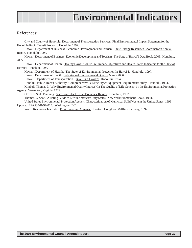### References:

City and County of Honolulu, Department of Transportation Services. Final Environmental Impact Statement for the Honolulu Rapid Transit Program. Honolulu, 1992.

Hawai'i Department of Business, Economic Development and Tourism. State Energy Resources Coordinator's Annual Report. Honolulu, 1994.

Hawai'i Department of Business, Economic Development and Tourism. The State of Hawai`i Data Book, 2005. Honolulu, 2005.

Hawai'i Department of Health. Healthy Hawai'i 2000: Preliminary Objectives and Health Status Indicators for the State of Hawai'i. Honolulu, 1995.

Hawai'i Department of Health. The State of Environmental Protection In Hawai'i. Honolulu, 1997.

Hawai'i Department of Health. Indicators of Environmental Quality, March 2006.

Hawai'i Department of Transportation. Bike Plan Hawai'i. Honolulu, 1994.

Honolulu Public Transit Authority. Comprehensive Bus Facility & Equipment Requirements Study. Honolulu, 1994.

Kimball, Thomas L. Why Environmental Quality Indices? In The Quality of Life Concept by the Environmental Protection Agency. Warrenton, Virginia, 1972.

Office of State Planning. State Land Use District Boundary Review. Honolulu, 1992.

Thomas, G. Scott. A Rating Guide to Life in America's Fifty States. New York: Prometheus Books, 1994. United States Environmental Protection Agency. Characterization of Municipal Solid Waste in the United States: 1996 Update. EPA530-R-97-015. Washington, DC.

World Resources Institute. Environmental Almanac. Boston: Houghton Mifflin Company, 1992.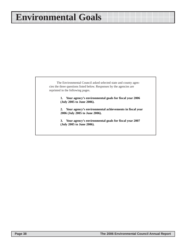### **Environmental Goals**

The Environmental Council asked selected state and county agencies the three questions listed below. Responses by the agencies are reprinted in the following pages.

> **1. Your agency's environmental goals for fiscal year 2006 (July 2005 to June 2006).**

**2. Your agency's environmental achievements in fiscal year 2006 (July 2005 to June 2006).**

**3. Your agency's environmental goals for fiscal year 2007 (July 2005 to June 2006).**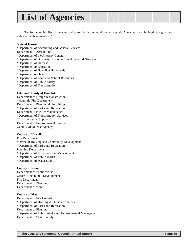### **List of Agencies**

The following is a list of agencies invited to submit their environmental goals. Agencies that submitted their goals are indicated with an asterisk (\*).

#### **State of Hawaii**

\*Department of Accounting and General Services Department of Agriculture \*Department of the Attorney General \*Department of Business, Economic Development & Tourism \*Department of Defense \*Department of Education \*Department of Hawaiian Homelands \*Department of Health \*Department of Land and Natural Resources \*Department of Public Safety \*Department of Transportation

#### **City and County of Honolulu**

Department of Design & Construction \*Honolulu Fire Department Department of Planning & Permitting \*Department of Parks and Recreation Department of Facility Maintenance \*Department of Transportation Services \*Board of Water Supply Department of Environmental Services Oahu Civil Defense Agency

#### **County of Hawaii**

Fire Department \*Office of Housing and Community Development \*Department of Parks and Recreation Planning Department \*Department of Environmental Management \*Department of Public Works \*Department of Water Supply

#### **County of Kauai**

Department of Public Works Office of Economic Development Fire Department Department of Planning Department of Water

#### **County of Maui**

Department of Fire Control \*Department of Housing & Human Concerns \*Department of Parks and Recreation Department of Planning \*Department of Public Works and Environmental Management Department of Water Supply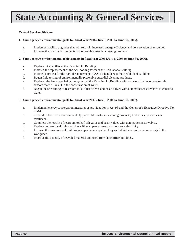# **State Accounting & General Services**

#### **Central Services Division**

#### **1. Your agency's environmental goals for fiscal year 2006 (July 1, 2005 to June 30, 2006).**

- a. Implement facility upgrades that will result in increased energy efficiency and conservation of resources.
- b. Increase the use of environmentally preferable custodial cleaning products.

#### **2. Your agency's environmental achievements in fiscal year 2006 (July 1, 2005 to June 30, 2006).**

- a. Replaced A/C chiller at the Kalanimoku Building.
- b. Initiated the replacement of the A/C cooling tower at the Kekuanaoa Building.
- c. Initiated a project for the partial replacement of A/C air handlers at the Keelikolani Building.
- d. Began field testing of environmentally preferable custodial cleaning products.
- e. Replaced the landscape irrigation system at the Kalanimoku Building with a system that incorporates rain sensors that will result in the conservation of water.
- f. Began the retrofitting of restroom toilet flush valves and basin valves with automatic sensor valves to conserve water.

#### **3. Your agency's environmental goals for fiscal year 2007 (July 1, 2006 to June 30, 2007).**

- a. Implement energy conservation measures as provided for in Act 96 and the Governor's Executive Directive No. 06-01.
- b. Convert to the use of environmentally preferable custodial cleaning products, herbicides, pesticides and fertilizers.
- c. Complete the retrofit of restroom toilet flush valve and basin valves with automatic sensor valves.
- d. Replace conventional light switches with occupancy sensors to conserve electricity.
- e. Increase the awareness of building occupants on steps that they as individuals can conserve energy in the workplace.
- f. Improve the quantity of recycled material collected from state office buildings.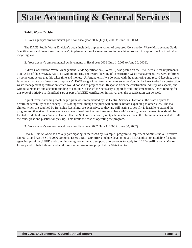# **State Accounting & General Services**

#### **Public Works Division**

1. Your agency's environmental goals for fiscal year 2006 (July 1, 2005 to June 30, 2006).

The DAGS Public Works Division's goals included: implementation of proposed Construction Waste Management Guide Specifications and "measure compliance"; implementation of a reverse-vending machine program to support the HI-5 bottle/can recycling law.

2. Your agency's environmental achievements in fiscal year 2006 (July 1, 2005 to June 30, 2006).

A draft Construction Waste Management Guide Specification (CWMGS) was posted on the PWD website for implementation. A lot of the CWMGS has to do with monitoring and record-keeping of construction waste management. We were informed by some contractors that this takes time and money. Unfortunately, if we do away with the monitoring and record-keeping, there is no way that we can "measure compliance". PWD sought input from contractors/vendors/public for ideas to draft a construction waste management specification which would not add to project cost. Response from the construction industry was sparse, and without a mandate and adequate funding to continue, it lacked the necessary support for full implementation. Once funding for this type of initiative is identified, say, as part of a LEED certification initiative, then the specification can be used.

A pilot reverse-vending machine program was implemented by the Central Services Division at the State Capitol to determine feasibility of the concept. It is doing well, though the pilot will continue before expanding to other sites. The machines, which are supplied by Reynolds Recycling, are expensive, so they are still testing to see if it is feasible to expand the program to other sites. In essence, it was determined that the machines must have 24/7 security, hence the machines should be located inside buildings. We also learned that the State must service (empty) the machines, crush the aluminum cans, and store all the cans, glass and plastics for pick-up. This limits the ease of operating the program.

3. Your agency's environmental goals for fiscal year 2007 (July 1, 2006 to June 30, 2007).

DAGS - Public Works is actively participating in the "Lead by Example" program to implement Administrative Directive No. 06-01 and Act 96 SLH 2006 Omnibus Energy Bill. Our efforts include developing a LEED application guideline for State agencies, providing LEED and commissioning programmatic support, pilot projects to apply for LEED certification at Manoa Library and Kohala Library, and a pilot retro-commissioning project at the State Capitol.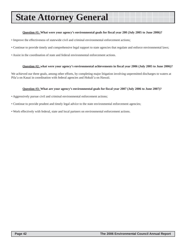### **State Attorney General**

#### **Question #1: What were your agency's environmental goals for fiscal year 200 (July 2005 to June 2006)?**

• Improve the effectiveness of statewide civil and criminal environmental enforcement actions;

• Continue to provide timely and comprehensive legal support to state agencies that regulate and enforce environmental laws;

• Assist in the coordination of state and federal environmental enforcement actions.

#### **Question #2: what were your agency's environmental achievements in fiscal year 2006 (July 2005 to June 2006)?**

We achieved our three goals, among other efforts, by completing major litigation involving unpermitted discharges to waters at Pila'a on Kauai in coordination with federal agencies and Hokuli'a on Hawaii.

#### **Question #3: What are your agency's environmental goals for fiscal year 2007 (July 2006 to June 2007)?**

- Aggressively pursue civil and criminal environmental enforcement actions;
- Continue to provide prudent and timely legal advice to the state environmental enforcement agencies;
- Work effectively with federal, state and local partners on environmental enforcement actions.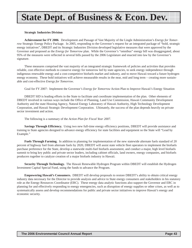# **State Dept. of Business & Econ. Dev.**

#### **Strategic Industries Division**

**Achievement for FY 2006**. Development and Passage of Vast Majority of the Lingle Administration's *Energy for Tomorrow* Strategic Energy Policy Package. In 2005, responding to the Governor's request for an integrated package of "bold, strategic energy initiatives", DBEDT and its Strategic Industries Division developed legislative measures that were approved by the Governor and proposed as the *Energy for Tomorrow* plan. While the Governor's "omnibus" energy bill was disaggregated, about 95% of the measures were reflected in several bills passed by the 2006 Legislature and enacted into law by the Governor's signature.

These measures comprised the vast majority of an integrated strategic framework of policies and activities that provides reliable, cost effective methods to conserve energy for tomorrow led by state agencies, to seek energy independence through indigenous renewable energy and a cost-competitive biofuels market and industry, and to move Hawaii toward a future hydrogen energy economy. These bold initiatives will achieve measurable results in the near, mid and long term – creating more sustainable and cost-effective *Energy for Tomorrow*.

Goal for FY 2007: Implement the Governor's *Energy for Tomorrow* Action Plan to Improve Hawaii's Energy Situation

DBEDT SID is leading efforts in the State to facilitate and coordinate implementation of the plan. Other elements of DBEDT involved in various ways include the Office of Planning, Land Use Commission, Hawaii Community Development Authority and the state Housing Agency, Natural Energy Laboratory of Hawaii Authority, High Technology Development Corporation, and Hawaii Strategic Development Corporation. Ultimately, the success of the plan depends heavily on private sector investment and action.

The following is a summary of the *Action Plan for Fiscal Year 2007*.

**Savings Through Efficiency.** Using two new full-time energy efficiency positions, DBEDT will provide assistance and training to State agencies designed to advance energy efficiency for state facilities and equipment so the State will "Lead by Example."

**Fuels Through Farming.** In addition to planning for implementation of the new statewide alternate fuels standard of 20 percent of highway fuel from alternate fuels by 2020, DBEDT will assist state vehicle fleet operators to implement the biofuels purchase preference for the State, develop a statewide multi-fuel biofuels assessment, and conduct a major, high level biofuels summit to bring key public and private sector leaders, including cabinet officials, land owners, energy companies, and biofuels producers together to catalyze creation of a major biofuels industry in Hawaii.

**Security Through Technology.** The Hawaii Renewable Hydrogen Program within DBEDT will establish the Hydrogen Investment Capital Special Fund, using the funds to advance the Program.

**Empowering Hawaii's Consumers.** DBEDT will develop proposals to restore DBEDT's ability to obtain critical energy industry data necessary for the Director to provide analysis and advice to State energy consumers and stakeholders in his statutory role as the Energy Resources Coordinator (ERC). These energy data analytic functions also support the Governor and ERC in planning for and effectively responding to energy emergencies, such as disruption of energy supplies or other crises, as well as to systematically assess and develop recommendations for public and private sector initiatives to improve Hawaii's energy and economic security.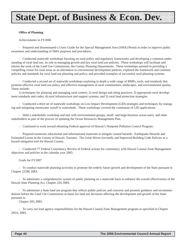# **State Dept. of Business & Econ. Dev.**

#### **Office of Planning**

#### Achievements in FY2006

- Prepared and disseminated a Users Guide for the Special Management Area (SMA) Permit in order to improve public awareness and understanding of SMA purposes and procedures.

- Conducted statewide workshops focusing on rural policy and regulatory frameworks and developing a common understanding of rural land use, its role in managing growth and key rural land use policies. These workshops will facilitate and inform the work of the Land Use Commission, the County Planning Departments. These workshops assisted in providing a compelling vision for rural areas as an alternative to conventional development patterns, explored the framework and common policies and standards for rural land use planning and policy, and provided examples of successful rural planning systems.

- Conducted a second set of statewide workshops exploring in depth a wide range of BMPs, tools, and standards that promote effective rural land use policy and effective management of rural communities, landscapes, and environmental quality. These include:

1) techniques for planning and managing rural centers; 2) rural design and siting practices; 3) appropriate rural development standards and codes; 4) rural infrastructure and support systems; and 5) rural land protection strategies.

- Conducted a third set of statewide workshops on Low Impact Development (LID) strategies and techniques for managing and mitigating stormwater runoff in watersheds. These workshops covered the continuum of LID applications.

- Held a stakeholder workshop and met with environmental groups, small- and large-business ocean users, and other stakeholders as part of the process of updating the Ocean Resources Management Plan.

- Continued to work toward obtaining Federal approval of Hawaii's Nonpoint Pollution Control Program.

- Prepared numerous educational and informational materials to mitigate coastal hazards: Earthquake Hazards and Estimated Losses in the County of Hawaii; Tsunami: The Great Waves (revised); and Improved Building Code Policies as a hazard mitigation tool for Hawaii County.

- Conducted 77 Federal Consistency Review of Federal actions for consistency with Hawaii Coastal Zone Management objectives and policies in the calendar year 2005.

#### Goals for FY2007

- To conduct statewide planning activities to promote the orderly future growth and development of the State pursuant to Chapter 225M, HRS.

- To administer a comprehensive system of public planning on a statewide basis to enhance the overall effectiveness of the Hawaii State Planning Act, Chapter 226, HRS.

- To administer a State land use program that reflects public policies and concerns and presents guidance and recommendations before the Land Use Commission as bases for land use decisions affecting the development and growth of the State pursuant to

Chapter 205, HRS.

- To carry out lead agency responsibilities for the Hawaii Coastal Zone Management program as specified in Chapter 205A, HRS.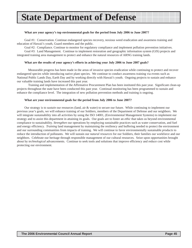# **State Department of Defense**

#### **What are your agency's top environmental goals for the period from July 2006 to June 2007?**

Goal #1: Conservation. Continue endangered species recovery, noxious weed eradication and awareness training and education of Hawaii's youth, Guard members and the public.

Goal #2: Compliance. Continue to monitor for regulatory compliance and implement pollution prevention initiatives.

Goal #3: Land Management. Continue to implement restoration and geographic information system (GIS) projects and integrated training area management to protect and enhance the natural resources of ARNG training lands.

#### **What are the results of your agency's efforts in achieving your July 2006 to June 2007 goals?**

Measurable progress has been made in the areas of invasive species eradication while continuing to protect and recover endangered species while introducing native plant species. We continue to conduct awareness training via events such as National Public Lands Day, Earth Day and by working directly with Hawaii's youth. Ongoing projects to sustain and enhance our valuable training lands have increased this past year.

Training and implementation of the Affirmative Procurement Plan has been instituted this past year. Significant clean-up projects throughout the state have been conducted this past year. Continual monitoring has been programmed to sustain and enhance the compliance level. The integration of new pollution prevention methods and training is ongoing.

#### **What are your environmental goals for the period from July 2006 to June 2007?**

Our strategy is to *sustain* our resources (land, air & water) to secure our future. While continuing to implement our previous year's goals, we will enhance training of our Soldiers, members of the Department of Defense and our neighbors. We will integrate sustainability into all activities by using the ISO 14001, (Environmental Management Systems) to implement our strategy and to assist this department in attaining its goals. Our goals are to foster an *ethic* that takes us beyond environmental compliance to sustainability. *Strengthen* our operations by employing sustainable practices such as water conservation, and fuel and energy efficiency. *Training* land management by maintaining the resiliency and buffering needed to protect the environment and our surrounding communities from impacts of training. We will continue to favor environmentally sustainable *products* to reduce the introduction of pollutants. We will sustain our *natural resources* for our Soldiers, their families our workforce and our neighbors. Celebrate our heritage through responsible management of our cultural resources. Seize upon opportunities brought about by *technological* advancements. Continue to seek tools and solutions that improve efficiency and reduce cost while protecting our environment.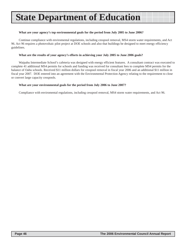# **State Department of Education**

#### **What are your agency's top environmental goals for the period from July 2005 to June 2006?**

Continue compliance with enviromental regulations, including cesspool removal, MS4 storm water requirements, and Act 96. Act 96 requires a photovoltaic pilot project at DOE schools and also that buildings be designed to meet energy efficiency guidelines.

#### **What are the results of your agency's efforts in achieving your July 2005 to June 2006 goals?**

Waipahu Intermediate School's cafeteria was designed with energy efficient features. A consultant contract was executed to complete 41 additional MS4 permits for schools and funding was received for consultant fees to complete MS4 permits for the balance of Oahu schools. Received \$11 million dollars for cesspool removal in fiscal year 2006 and an additional \$11 million in fiscal year 2007. DOE entered into an agreement with the Environmental Protection Agency relating to the requirement to close or convert large capacity cesspools.

#### **What are your environmental goals for the period from July 2006 to June 2007?**

Compliance with enviromental regulations, including cesspool removal, MS4 storm water requirements, and Act 96.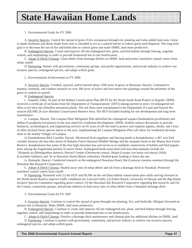### **State Hawaiian Home Lands**

#### 1. Environmental Goals for FY 2006

A. Invasive Species. Control the spread of gorse (Ulex europaeus) through tree planting and value-added land uses. Gorse is shade intolerant and dense shade from trees is intended to act as a natural barrier to reduce gorse seed dispersal. The long term goal is to decrease the use of fire and herbicides to control gorse and make DHHL land more productive.

B. Endangered Species. Create and improve off-site endangered tree, plant, and bird habitat through fencing, ungulate control, and outplantings in order to provide homestead lots to our beneficiaries.

C. Adopt-A-Ditch-Cleanup. Clean debris from drainage ditches on DHHL land and protect nearshore coastal waters from urban runoff.

D. Partnering. Partner with government, community groups, non-profit organizations, and private industry to achieve our invasive species, endangered species, and adopt-a-ditch goals.

#### 2. Environmental Achievements in FY 2006

A. Invasive Species. Crushed, sprayed, and/or burned about 1200 acres of gorse in Humuula, Hawaii. Continued to monitor, maintain, and conduct research on over 300 acres of native and non-native tree plantings around the perimeter of the gorse to contain its spread.

B. Endangered Species

i. Kapolei, Oahu. As part of the Habitat Conservation Plan (HCP) for the North-South Road Project in Kapolei, DHHL received a certificate of inclusion from the Department of Transportations' (DOT) takings permit to move 14 endangered red ilima or ko'oloa'ula (Abutilon mensiesii) plants. The red ilima were transplanted to the Department of Land and Natural Resources (DLNR) 26 acre Abutilon Conservation Reserve Area. The HCP included funding for site development and long-term maintenance.

ii. Laiopua, Hawaii. The Laiopua Plant Mitigation Plan identified the endangered aupaka (Isodendrion pyrofolium) and uhihui (Caesalpinia kavaiensis) in the area slated for residential development. DHHL drafted contract documents to provide botanical, archaeological, and engineering services on 65 acres of off-site land to protect and outplant aupaka, uhiuhi, and a host of other dryland forest species native to the area. Implementing the Laiopua Mitigation Plan will allow for residential development in the nearby Villages of Laiopua.

iii.Kanakaleonui Bird Corridor, Hawaii. Monitored feral ungulates and fencing needs in Kanakaleonui, a 467 acre bird corridor between the koa-ohia forest of Hakalau Forest National Wildlife Refuge and the mamane forest in the Mauna Kea Forest Reserve. Kanakaleonui has some of the best high elevation koa and serves to re-establish connectivity of habitat and bird populations among the fragmented patches of native forest. Endangered birds associated with koa-ohia-mamane include the 'Akiapola'au (Hemignathus monroi), Hawaii Creeper (Oreomystis mana), Akepa (Loxops coccineus coccineus), Palila (Loxioides bailleui), and 'Io or Hawaiian Hawk (Buteo solitarius). Drafted grant funding to fence the site.

iv. Humuula, Hawaii. Conducted research on the endangered Hawaiian Hoary Bat (Lasiurus cinereus semotus) through the Hawaiian Bat Research Cooperative.

C. Adopt-A-Ditch-Cleanup. Hauled away tons of urban debris and silt from a drainage ditch in Nanakuli. Protected nearshore coastal waters from runoff.

D. Partnering. Partnered with (1) the DOT and DLNR on the red ilima habitat conservation plan while moving forward on the North-South Road to improve traffic conditions for Leeward Oahu; (2) Parker Ranch, University of Hawaii and the Big Island Invasive Species Committee regarding gorse control; (3) the Hawaiian Bat Research Cooperative regarding Bat research; and (4) the County, community groups, and private industry to haul away tons of urban debris from a Nanakuli drainage ditch.

3. Environmental Goals for FY 2007

A. Invasive Species. Continue to control the spread of gorse through tree planting, fire, and herbicide. Mitigate fireweed on pasture lots in Humuula. Make DHHL land more productive.

B. Endangered Species. Continue to create and improve off-site endangered tree, plant, and bird habitat through fencing, ungulate control, and outplantings in order to provide homestead lots to our beneficiaries.

C. Adopt-A-Ditch-Cleanup. Finalize a drainage ditch maintenance and cleanup plan for additional ditches on DHHL land.

D. Partnering. Continue to partner with government, community, and private industry to achieve our invasive species, endangered species, and adopt-a-ditch goals.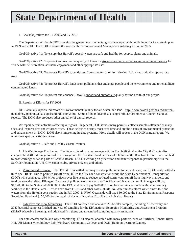# **State Department of Health**

#### I. Goals/Objectives for FY 2006 and FY 2007

The Department of Health (DOH) retains the general environmental goals developed with public input for its strategic plan in 1999 and 2001. The DOH reviewed the goals with its Environmental Management Advisory Group in 2005.

Goal/Objective #1: To ensure that Hawaii's coastal waters are safe and healthy for people, plants and animals.

Goal/Objective #2: To protect and restore the quality of Hawaii's streams, wetlands, estuaries and other inland waters for fish & wildlife, recreation, aesthetic enjoyment and other appropriate uses.

Goal/Objective #3: To protect Hawaii's groundwater from contamination for drinking, irrigation, and other appropriate uses.

Goal/Objective #4: To protect Hawaii's lands from pollutants that endanger people and the environment; and to rehabilitate contaminated lands.

Goal/Objective #5: To protect and enhance Hawaii's indoor and outdoor air quality for the health of our people.

#### II. Results of Efforts for FY 2006

DOH annually reports Indicators of Environmental Quality for air, water, and land: http://www.hawaii.gov/health/environmental/env-planning/goals/goalsandindicators.html. Some of the indicators also appear the Environmental Council's annual reports. The DOH also produces other annual or bi-annual reports.

We report certain activities affecting our goals. In general, DOH issues many permits, collects samples often and at many sites, and inspects sites and enforces often. These activities occupy most staff time and are the basics of environmental protection and enhancement by DOH. DOH also is improving its data systems. More details will appear in the DOH annual report. We note some specific activities below.

Goal/Objective #1, Safe and Healthy Coastal Waters:

1. Ala Wai Sewage Discharge. The State suffered its worst sewage spill in March 2006 when the City & County discharged about 48 million gallons of raw sewage into the Ala Wai Canal because of a failure in the Beachwalk force main and had to post warnings as far as parts of Waikiki Beach. DOH is working on prevention and better response in partnership with the Surfrider Foundation, UH, City, canoe clubs, private citizens, and others.

2. Vigorous enforcement. The DOH & EPA settled two major water pollution enforcement cases, and DOH nearly settled a third one. **DOT.** Due to polluted runoff from DOT's facilities and construction work, the State Department of Transportation (DOT) will spend about \$50 M for projects over five years to reduce polluted storm water runoff from highways, airports and road construction sites. **Pflueger.** Because of polluted storm water runoff to Pilaa reef, Kauai, James H. Pfleuger will pay \$1,170,000 to the State and \$830,000 to the EPA, and he will pay \$200,000 to replace certain cesspools with better sanitary facilities in the Hanalei area. This is apart from DLNR and other cases. (**Hokulia.** After muddy storm water runoff to Kona waters from the Hokulia construction site in Fall 2000, in FY07 Oceanside will pay \$50,000 to the State Environmental Response Revolving Fund and \$150,000 for the repair of docks at Keauhou Boat Harbor in Kailua, Kona.)

3. Extensive and New Monitoring. The DOH collected and analyzed 2956 water samples, including 21 chemistry and 2947 bacterial samples; finished one year of sampling for the EPA national Ecoregion Monitoring and Assessment Program (EMAP Wadeable Streams); and advanced fish tissue and stream bed sampling quality assurance.

For both coastal and inland water monitoring, DOH also collaborated with many partners, such as Surfrider, Hanalei River Hui, UH-Manoa Microbiology Lab, Windward Community College, and DOE (Hakipuu Learning Center).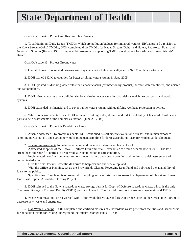# **State Department of Health**

Goal/Objective #2: Protect and Restore Inland Waters

1. Total Maximum Daily Loads (TMDLs, which are pollution budgets for impaired waters). EPA approved a revision to the Kawa Stream (Oahu) TMDLs; DOH completed draft TMDLs for Kapaa Stream (Oahu) and Huleia, Papakolea, Puali, and Nawiliwili Streams (Kauai). DOH completed bioassessments supporting TMDL development for Oahu and Hawaii islands' streams.

Goal/Objective #3: Protect Groundwater

1. Overall, Hawaii's regulated drinking water systems met all standards all year for 97.1% of their customers.

2. DOH loaned \$42 M to counties for better drinking water systems in Sept. 2005.

3. DOH updated its drinking water rules for haloacetic acids (disinfection by-product), surface water treatment, and arsenic and radionuclides.

4. DOH raised concerns about building shallow drinking water wells in subdivisions which use cesspools and septic systems.

5. DOH expanded its financial aid to cover public water systems with qualifying wellhead protection activities.

6. While not a groundwater issue, DOH surveyed drinking water, shower, and toilet availability at Leeward Coast beach parks to help assessments of the homeless situation. (June 29, 2006)

Goal/Objective #4: Protect & Rehabilitate Lands

1. Arsenic addressed. To protect residents, DOH continued its soil arsenic evaluation with soil and human exposure sampling in Kea'au, HI, and started new multi-increment sampling for large agricultural tracts for residential development.

2. System improvements for safe remediation and reuse of contaminated lands. DOH:

· Advocated adoption of the Hawai'i Uniform Environmental Covenants Act, which became law in 2006. The law strengthens site specific controls to keep residual contamination in safe condition.

· Implemented new Environmental Actions Levels to help and speed screening and preliminary risk assessments of contaminated sites.

· Held the first Hawai'i Brownfields Forum to help cleanup and redevelop land.

· With the Office of Planning, set up the Brownfields Cleanup Revolving Loan Fund and publicized the availability of loans to the public.

· Specific sites: Completed two brownfields sampling and analysis plans to assess the Department of Hawaiian Homelands East Kapolei Affordable Housing Project.

3. DOH reissued to the Navy a hazardous waste storage permit for Dept. of Defense hazardous waste, which is the only Treatment Storage or Disposal Facility (TSDF) permit in Hawaii. Commercial hazardous waste must use mainland TSDFs.

4. Waste Minimization: DOH worked with Hilton Waikoloa Village and Hawaii Prince Hotel in the Green Hotel Forums to decrease new waste and energy use.

5. Haz Waste Cleanups. DOH completed and certified closures of 2 hazardous waste generators facilities and issued 78 no further action letters for leaking underground (petroleum) storage tanks (LUSTs);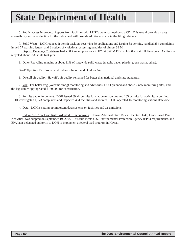# **State Department of Health**

6. Public access improved. Reports from facilities with LUSTs were scanned onto a CD. This would provide an easy accessibility and reproduction for the public and will provide additional space in the filing cabinets.

7. Solid Waste. DOH reduced it permit backlog, receiving 59 applications and issuing 88 permits, handled 254 complaints, issued 77 warning letters, and 6 notices of violations, assessing penalties of almost \$3 M.

8. Deposit Beverage Containers had a 68% redemption rate in FY 06 (960M DBC sold), the first full fiscal year. California recycled about 55% in its first year.

9. Other Recycling remains at about 31% of statewide solid waste (metals, paper, plastic, green waste, other).

Goal/Objective #5: Protect and Enhance Indoor and Outdoor Air

1. Overall air quality. Hawaii's air quality remained far better than national and state standards.

2. Vog. For better vog (volcanic smog) monitoring and advisories, DOH planned and chose 2 new monitoring sites, and the legislature appropriated \$150,000 for construction.

3. Permits and enforcement. DOH issued 89 air permits for stationary sources and 185 permits for agriculture burning. DOH investigated 1,173 complaints and inspected 484 facilities and sources. DOH operated 16 monitoring stations statewide.

4. Data. DOH is setting up important data systems on facilities and air emissions.

5. Indoor Air: New Lead Rules Adopted; EPA approves. Hawaii Administrative Rules, Chapter 11-41, Lead-Based Paint Activities, was adopted on September 19, 2005. This rule meets U.S. Environmental Protection Agency (EPA) requirements, and EPA later delegated authority to DOH to implement a federal lead program in Hawaii.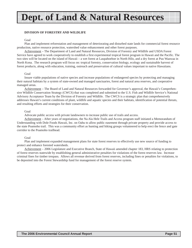# **Dept. of Land & Natural Resources**

#### **DIVISION OF FORESTRY AND WILDLIFE**

#### Goal

Plan and implement reforestation and management of deteriorating and disturbed state lands for commercial forest resource production, native resource protection, watershed value enhancement and other forest purposes.

Achievement – The Department of Land and Natural Resources, Division of Forestry and Wildlife and USDA Forest Service have agreed to work cooperatively to establish a first experimental tropical forest program in Hawaii and the Pacific. The two sites will be located on the island of Hawaii – a wet forest at Laupahoehoe in North Hilo, and a dry forest at Puu Waawaa in North Kona. The research program will focus on: tropical forestry, conservation biology, ecology and sustainable harvest of forest products, along with education, training, outreach and preservation of cultural values important to native Hawaiians.

#### Goal

Insure viable populations of native species and increase populations of endangered species by protecting and managing their natural habitats by a system of state-owned and managed sanctuaries, forest and natural area reserves, and cooperative managed areas.

Achievement – The Board of Land and Natural Resources forwarded for Governor's approval, the Hawaii's Comprehensive Wildlife Conservation Strategy (CWCS) that was completed and submitted to the U.S. Fish and Wildlife Service's National Advisory Acceptance Team by the Division of Forestry and Wildlife. The CWCS is a strategic plan that comprehensively addresses Hawaii's current conditions of plant, wildlife and aquatic species and their habitats, identification of potential threats, and resulting efforts and strategies for their conservation.

#### Goal

Advocate public access with private landowners to increase public use of trails and access.

Achievement – After years of negotiations, the Na Ala Hele Trails and Access program staff initiated a Memorandum of Understanding with Dole Foods Hawaii, Inc. on Oahu to allow public easement through private property and provide access to the state Poamoho trail. This was a community effort as hunting and hiking groups volunteered to help erect the fence and gate corridor to the Poamoho trailhead.

#### Goal

Plan and implement expanded management plans for state forest reserves to effectively use new source of funding to protect and enhance forested watersheds.

Achievement – 2006 Legislature and Executive Branch, State of Hawaii amended chapter 183, HRS relating to protection of forest reserves statewide by establishing general administrative penalties for violations of the forest reserves law. Increase criminal fines for timber trespass. Allows all revenue derived from forest reserves, including fines or penalties for violations, to be deposited into the Forest Stewardship fund for management of the forest reserve system.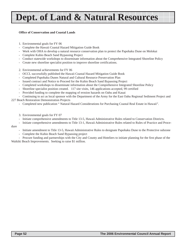# **Dept. of Land & Natural Resources**

#### **Office of Conservation and Coastal Lands**

- 1. Environmental goals for FY 06
- Complete the Hawaii Coastal Hazard Mitigation Guide Book
- Work with OHA to develop a natural resource conservation plan to protect the Papohaku Dune on Molokai
- Complete Kuhio Beach Sand Bypassing Project
- Conduct statewide workshops to disseminate information about the Comprehensive Integrated Shoreline Policy
- Create new shoreline specialist position to improve shoreline certifications.
- 2. Environmental achievements for FY 06
- OCCL successfully published the Hawaii Coastal Hazard Mitigation Guide Book
- Completed Papohaku Dunes Natural and Cultural Resource Preservation Plan
- Issued contract and Notice to Proceed for the Kuhio Beach Sand Bypassing Project
- Completed workshops to disseminate information about the Comprehensive Integrated Shoreline Policy
- Shoreline specialist position created. 117 site visits, 146 applications accepted, 99 certified
- Provided funding to complete the mapping of erosion hazards on Oahu and Kauai

- Continuing to act as local sponsor with the Department of the Army for the East Oahu Regional Sediment Project and 227 Beach Restoration Demonstration Projects

- Completed new publication " Natural Hazard Considerations for Purchasing Coastal Real Estate in Hawaii".
- 3. Environmental goals for FY 07
- Initiate comprehensive amendments to Title 13-5, Hawaii Administrative Rules related to Conservation Districts.
- Initiate comprehensive amendments to Title 13-1, Hawaii Administrative Rules related to Rules of Practice and Proce-

#### dure

- Initiate amendment to Title 13-5, Hawaii Administrative Rules to designate Papohaku Dune to the Protective subzone
- Complete the Kuhio Beach Sand Bypassing project

- Procure funding and partnerships with the City and County and Hoteliers to initiate planning for the first phase of the Waikiki Beach Improvements. Seeking to raise \$1 million.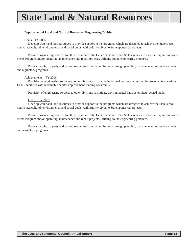# **State Land & Natural Resources**

#### **Department of Land and Natural Resources, Engineering Division**

#### Goals – FY 2006

· Develop water and land resources to provide support to the programs which are designed to achieve the State's economic, agricultural, environmental and social goals, with priority given to State-sponsored projects.

· Provide engineering services to other divisions of the Department and other State agencies to execute Capital Improvements Program and/or operating, maintenance and repair projects, utilizing sound engineering practices.

· Protect people, property and natural resources from natural hazards through planning, management, mitigative efforts and regulatory programs.

#### Achievements – FY 2006

· Provision of engineering services to other divisions to provide individual wastewater system improvements at various DLNR facilities within available capital improvement funding constraints.

· Provision of engineering services to other divisions to mitigate environmental hazards on State-owned lands.

#### Goals – FY 2007

· Develop water and land resources to provide support to the programs which are designed to achieve the State's economic, agricultural, environmental and social goals, with priority given to State-sponsored projects.

· Provide engineering services to other divisions of the Department and other State agencies to execute Capital Improvements Program and/or operating, maintenance and repair projects, utilizing sound engineering practices.

· Protect people, property and natural resources from natural hazards through planning, management, mitigative efforts and regulatory programs.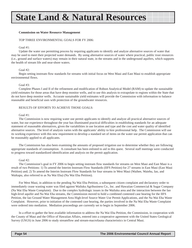# **State Land & Natural Resources**

#### **Commission on Water Resource Management**

#### TOP THREE ENVIRONMENTAL GOALS FOR FY 2006:

#### Goal #1:

Update the water use permitting process by requiring applicants to identify and analyze alternative sources of water that may be used to meet their projected water demands. By using alternative sources of water where practical, public trust resources (i.e., ground and surface waters) may remain in their natural state, in the streams and in the underground aquifers, which supports the health of stream life and near-shore waters.

#### Goal  $#2$ :

Begin setting instream flow standards for streams with initial focus on West Maui and East Maui to establish appropriate environmental flows.

#### Goal #3:

Complete Phases I and II of the refinement and modification of Robust Analytical Model (RAM) to update the sustainable yield estimates for those areas that have deep monitor wells, and to use this analysis to extrapolate to regions within the State that do not have deep monitor wells. Accurate sustainable yield estimates will provide the Commission with information to balance reasonable and beneficial uses with protection of the groundwater resources.

#### RESULTS OF EFFORTS TO ACHIEVE THOSE GOALS:

#### Goal #1:

The Commission is now requiring water use permit applicants to identify and analyze all practical alternative sources of water, but our experience throughout the year has illuminated practical difficulties in establishing standards for an adequate statement of reasonable alternatives, given the variabilities in use location and type and the cost and water quality of identified alternative sources. The level of analysis varies with the applicants' ability to hire professional help. The Commission will use its working experience with this new requirement to develop a standard set of items on the water use permit application that can be reasonably applied to all applicants.

The Commission has also been examining the amounts of proposed irrigation use to determine whether they are following appropriate standards of consumption. A consultant has been enlisted to aid in this quest. Several staff meetings were conducted to progress toward standardized identification and analysis on the permit application.

#### Goal #2:

The Commission's goal in FY 2006 to begin setting instream flow standards for streams on West Maui and East Maui is a result of two Petitions: 1) To amend the Interim Instream Flow Standards (IIFS Petition) for 27 streams in East Maui (East Maui Petition) and; 2) To amend the Interim Instream Flow Standards for four streams in West Maui (Waihee, Waiehu, Iao, and Waikapu, also referred to as Na Wai Eha) (Na Wai Eha Petition).

For West Maui, in addition to the pending Na Wai Eha Petition, a subsequent citizen complaint and declaratory order to immediately cease wasting water was filed against Wailuku Agribusiness Co., Inc. and Hawaiian Commercial & Sugar Company (Na Wai Eha Waste Complaint). Due to the complex hydrologic issues in the Wailuku area and the interaction between the Iao high-level aquifer and Na Wai Eha streams, the Commission moved to hold a combined contested case hearing for the IIFS Petition, the Iao Ground Water Management Area High-level Source Water Use Permit Applications, and the Na Wai Eha Waste Complaint. However, prior to initiation of the contested case hearing, the parties involved in the Na Wai Eha Waste Complaint were ordered into mediation. Mediation proceedings are currently set to begin in September 2006.

In a effort to gather the best available information to address the Na Wai Eha Petition, the Commission, in cooperation with the County of Maui and the Office of Hawaiian Affairs, entered into a cooperative agreement with the United States Geological Survey (USGS) in June 2006 to study streamflow and stream-macrofauna characteristics in Central Maui.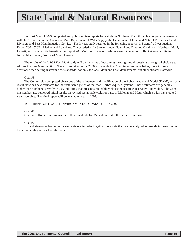### **State Land & Natural Resources**

For East Maui, USGS completed and published two reports for a study in Northeast Maui through a cooperative agreement with the Commission, the County of Maui Department of Water Supply, the Department of Land and Natural Resources, Land Division, and East Maui Irrigation Co., Ltd. The 3-year, study resulted in the following reports: 1) Scientific Investigations Report 2004-5262 – Median and Low-Flow Characteristics for Streams under Natural and Diverted Conditions, Northeast Maui, Hawaii; and 2) Scientific Investigation Report 2005-5213 – Effects of Surface-Water Diversions on Habitat Availability for Native Macrofauna, Northeast Maui, Hawaii.

The results of the USGS East Maui study will be the focus of upcoming meetings and discussions among stakeholders to address the East Maui Petition. The actions taken in FY 2006 will enable the Commission to make better, more informed decisions when setting instream flow standards, not only for West Maui and East Maui streams, but other streams statewide.

#### Goal #3:

The Commission completed phase one of the refinement and modification of the Robust Analytical Model (RAM), and as a result, now has new estimates for the sustainable yields of the Pearl Harbor Aquifer Systems. These estimates are generally higher than numbers currently in use, indicating that present sustainable yield estimates are conservative and viable. The Commission has also reviewed initial results on revised sustainable yield for parts of Molokai and Maui, which, so far, have looked very favorable. The final report will be available in early 2007.

#### TOP THREE (OR FEWER) ENVIRONMENTAL GOALS FOR FY 2007:

#### Goal #1:

Continue efforts of setting instream flow standards for Maui streams & other streams statewide.

#### Goal #2:

Expand statewide deep monitor well network in order to gather more data that can be analyzed to provide information on the sustainability of basal aquifer systems.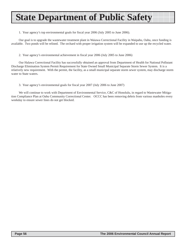# **State Department of Public Safety**

1. Your agency's top environmental goals for fiscal year 2006 (July 2005 to June 2006).

Our goal is to upgrade the wastewater treatment plant in Waiawa Correctional Facility in Waipahu, Oahu, once funding is available. Two ponds will be relined. The orchard with proper irrigation system will be expanded to use up the recycled water.

2. Your agency's environmental achievement in fiscal year 2006 (July 2005 to June 2006)

Our Halawa Correctional Facility has successfully obtained an approval from Department of Health for National Pollutant Discharge Elimination System Permit Requirement for State Owned Small Municipal Separate Storm Sewer System. It is a relatively new requirement. With the permit, the facility, as a small municipal separate storm sewer system, may discharge storm water to State waters.

3. Your agency's environmental goals for fiscal year 2007 (July 2006 to June 2007)

We will continue to work with Department of Environmental Service, C&C of Honolulu, in regard to Wastewater Mitigation Compliance Plan at Oahu Community Correctional Center. OCCC has been removing debris from various manholes every weekday to ensure sewer lines do not get blocked.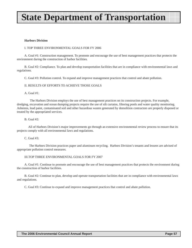# **State Department of Transportation**

#### **Harbors Division**

#### I. TOP THREE ENVIRONMENTAL GOALS FOR FY 2006

A. Goal #1: Construction management. To promote and encourage the use of best management practices that protects the environment during the construction of harbor facilities.

B. Goal #2: Compliance. To plan and develop transportation facilities that are in compliance with environmental laws and regulations.

C. Goal #3: Pollution control. To expand and improve management practices that control and abate pollution.

#### II. RESULTS OF EFFORTS TO ACHIEVE THOSE GOALS

A. Goal #1:

 The Harbors Division employs the use of best management practices on its construction projects. For example, dredging, excavation and ocean dumping projects require the use of silt curtains, filtering pools and water quality monitoring. Asbestos, lead paint, contaminated soil and other hazardous wastes generated by demolition contractors are properly disposed or treated by the appropriated services.

B. Goal #2:

 All of Harbors Division's major improvements go through an extensive environmental review process to ensure that its projects comply with all environmental laws and regulations.

C. Goal #3:

 The Harbors Division practices paper and aluminum recycling. Harbors Division's tenants and lessees are advised of appropriate pollution control measures.

#### III.TOP THREE ENVIRONMENTAL GOALS FOR FY 2007

A. Goal #1: Continue to promote and encourage the use of best management practices that protects the environment during the construction of harbor facilities.

B. Goal #2: Continue to plan, develop and operate transportation facilities that are in compliance with environmental laws and regulations.

C. Goal #3: Continue to expand and improve management practices that control and abate pollution.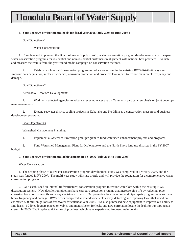### **Honolulu Board of Water Supply**

#### 1. **Your agency's environmental goals for fiscal year 2006 (July 2005 to June 2006):**

Goal/Objective #1:

Water Conservation:

1. Complete and implement the Board of Water Supply (BWS) water conservation program development study to expand water conservation programs for residential and non-residential customers in alignment with national best practices. Evaluate and measure the results from the year-round media campaign on conservation methods.

2. Establish an Internal Conservation program to reduce water loss in the existing BWS distribution system. Improve data acquisition, meter efficiencies, corrosion protection and proactive leak repair to reduce main break frequency and damage.

#### Goal/Objective #2:

Alternative Resource Development:

1. Work with affected agencies to advance recycled water use on Oahu with particular emphasis on joint development agreements.

2. Expand seawater district cooling projects in Kaka'ako and Ko Olina as a conservation measure and business development program.

#### Goal/Objective #3:

Watershed Management Planning:

1. Implement a Watershed Protection grant program to fund watershed enhancement projects and programs.

2. Fund Watershed Management Plans for Ko'olaupoko and the North Shore land use districts in the FY 2007 budget.

#### 2. **Your agency's environmental achievements in FY 2006 (July 2005 to June 2006):**

Water Conservation:

1. The scoping phase of our water conservation program development study was completed in February 2006, and the study was funded in FY 2007. The multi-year study will start shortly and will provide the foundation for a comprehensive water conservation program.

2. BWS established an internal (infrastructure) conservation program to reduce water loss within the existing BWS distribution system. New ductile iron pipelines have cathodic protection systems that increase pipe life by reducing pipe corrosion from corrosive soils and stray electrical currents. Our proactive leak detection and pipe repair program reduces main break frequency and damage. BWS crews completed an island wide leak survey, detecting and repairing leaks that saved an estimated 500 million gallons of freshwater for calendar year 2005. We also purchased new equipment to improve our ability to find leaks. 60 fixed loggers placed on valves and meters listen for leaks and new correlators locate the leak for our pipe repair crews. In 2005, BWS replaced 6.2 miles of pipelines, which have experienced frequent main breaks.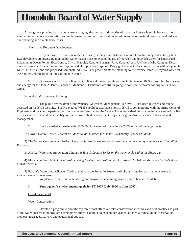### **Honolulu Board of Water Supply**

Although our pipeline distribution system is aging, the number and severity of main breaks/year is stable because of our internal infrastructure conservation and replacement programs. Every gallon saved preserves our natural resources and reduces our operating and maintenance costs.

Alternative Resource Development:

1. Recycled water use was increased in Ewa by adding new customers to our Honouliuli recycled water system. Ewa developers are preparing nonpotable water master plans to expand the use of recycled and brackish water for landscaped irrigation in Ocean Pointe, Ewa Gentry, City of Kapolei, Kapolei Business Park, Kapolei West, UH West Oahu Campus, Department of Hawaiian Home Lands-East Kapolei and Ho'opili-East Kapolei. Every golf course in Ewa now irrigates with nonpotable water. HECO's Kahe and proposed Campbell Industrial Park power plants are planning to use reverse osmosis recycled water for their boilers, eliminating their use of potable water.

2. Our seawater district cooling plant in Kaka'ako was brought on-line in September 2005, conserving freshwater and energy for the John A. Burns School of Medicine. Discussions are still ongoing to construct seawater cooling wells in Ko Olina.

Watershed Management Planning:

1. The public review draft of the Waianae Watershed Management Plan (WMP) has been released and can be accessed on the BWS web site. The Ko'olauloa WMP should be available shortly. BWS is collaborating with the Army Corps of Engineers and the City Department of Environmental Services on the Central Oahu Watershed Study, creating a watershed profile of issues and threats and then identifying several watershed enhancement projects for groundwater, surface water and land management.

2. BWS awarded approximately \$135,000 in watershed grants in FY 2006 to the following projects:

1) Hawaii Nature Center: *Watershed Educational Outreach for Oahu's Elementary School Children;*

2) The Nature Conservancy: *Project Stewardship, Native watershed restoration with community volunteers at Honouliuli Preserve;*

3) Ala Wai Watershed Association: *Ahupua'a Tour & Lecture Series on the water cycle within the Ahupua'a;*

4) Mohala Ika Wai: *Makaha Cultural Learning Center, a restoration plan for historic loi kalo lands owned by BWS along Makaha Stream*;

5) Punalu'u Watershed Alliance: Tools to maintain the Punalu'u Stream agricultural irrigation distribution system for efficient use of stream water.

We plan to resume our watershed grant program in upcoming years as funds become available.

#### 3. **Your agency's environmental goals for FY 2007 (July 2006 to June 2007):**

#### Goal/Objective #1:

Water Conservation:

Develop a program to pilot the top three most effective water conservation measures and best practices as part of the water conservation program development study. Continue to expand our year-round media campaign on conservation methods, messages, surveys and educational outreach.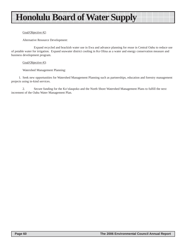### **Honolulu Board of Water Supply**

#### Goal/Objective #2:

Alternative Resource Development:

Expand recycled and brackish water use in Ewa and advance planning for reuse in Central Oahu to reduce use of potable water for irrigation. Expand seawater district cooling in Ko Olina as a water and energy conservation measure and business development program.

#### Goal/Objective #3:

Watershed Management Planning:

1. Seek new opportunities for Watershed Management Planning such as partnerships, education and forestry management projects using in-kind services.

2. Secure funding for the Ko'olaupoko and the North Shore Watershed Management Plans to fulfill the next increment of the Oahu Water Management Plan.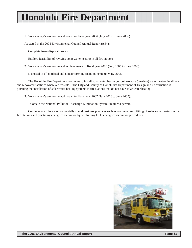### **Honolulu Fire Department**

1. Your agency's environmental goals for fiscal year 2006 (July 2005 to June 2006).

As stated in the 2005 Environmental Council Annual Report (p.54):

- · Complete foam disposal project.
- Explore feasibility of reviving solar water heating in all fire stations.
- 2. Your agency's environmental achievements in fiscal year 2006 (July 2005 to June 2006).
- · Disposed of all outdated and nonconforming foam on September 15, 2005.

· The Honolulu Fire Department continues to install solar water heating or point-of-use (tankless) water heaters in all new and renovated facilities wherever feasible. The City and County of Honolulu's Department of Design and Construction is pursuing the installation of solar water heating systems in fire stations that do not have solar water heating.

- 3. Your agency's environmental goals for fiscal year 2007 (July 2006 to June 2007).
- · To obtain the National Pollution Discharge Elimination System Small M4 permit.

· Continue to explore environmentally sound business practices such as continued retrofitting of solar water heaters in the fire stations and practicing energy conservation by reinforcing HFD energy conservation procedures.

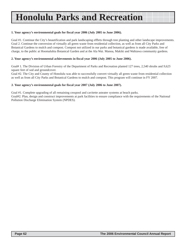# **Honolulu Parks and Recreation**

#### **1. Your agency's environmental goals for fiscal year 2006 (July 2005 to June 2006).**

Goal #1. Continue the City's beautification and park landscaping effbrts through tree planting and other landscape improvements. Goal 2. Continue the conversion of virtually all green waste from residential collection, as well as from all City Parks and Botanical Gardens to mulch and compost. Compost not utilized in our parks and botanical gardens is made available, free of charge, to the public at Hoomaluhia Botanical Garden and at the Ala Wai. Manoa, Makiki and Wahiawa community gardens.

#### **2. Your agency's environmental achievements in fiscal year 2006 (July 2005 to June 2006).**

Goal# 1. The Division of Urban Forestry of the Department of Parks and Recreation planted 127 trees, 2,540 shrubs and *9,625* square feet of sod and groundcover.

Goal #2. The City and County of Honolulu was able to successfully convert virtually all green waste from residential collection as well as from all City Parks and Botanical Gardens to mulch and compost. This program will continue in FY 2007.

#### *3.* **Your agency's environmental goals for fiscal year 2007 (July 2006 to June 2007).**

Goal #1. Complete upgrading of all remaining cesspool and cavitette asteater systems at beach parks. Goal#2. Plan, design and construct improvements at park facilities to ensure compliance with the requirements of the National Pollution Discharge Elimination System (NPDES).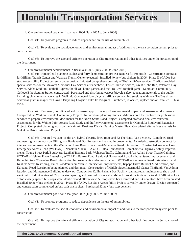### **Honolulu Transportation Services**

#### 1. Our environmental goals for fiscal year 2006 (July 2005 to June 2006)

Goal #1: To promote programs to reduce dependence on the use of automobiles.

Goal #2: To evaluate the social, economic, and environmental impact of additions to the transportation system prior to construction.

Goal #3: To improve the safe and efficient operation of City transportation and other facilities under the jurisdiction of the department.

2. Our environmental achievements in fiscal year 2006 (July 2005 to June 2006)

Goal #1: Initiated rail planning studies and ferry demonstration project Request for Proposals. Construction contracts for Mililani Transit Center and Waianae Transit Center executed. Installed 40 new bus shelters in 2006. Phase II of ADA Bus stop Accessibility Project currently under design. Initiated comprehensive study of TheHandi-Van service. TheBus provided special services for the Mayor's Memorial Day Service at Punchbowl, Easter Sunrise Service, Great Aloha Run, Veteran's Day Service, Aloha Stadium Football Express for all UH home games, and the Pro Bowl football game. Kapiolani Community College Bike Staging Station constructed. Purchased and distributed various bicycle safety education materials to the public, including bicycle rental agencies in Waikiki. Conducted four bicycle traffic safety training sessions with new TheBus drivers. Served as grant manager for Hawaii Bicycling League's Bike Ed Program. Purchased, relocated, replace and/or installed 15 bike racks.

Goal #2: Reviewed, coordinated and processed approximately 47 environmental impact and assessment documents. Completed the Waikiki Livable Community Project. Initiated rail planning studies. Administered the contract for professional services to prepare environmental documents for the North-South Road Project. Competed draft and final environmental assessments for the Waipio Point Access Road Study and draft environmental assessment for Kamokila Boulevard Extension Project. Completed planning work on the Kaimuki Business District Parking Master Plan. Completed alternatives analysis for Makakilo Drive Extension Project.

Goal #3: Procured 40 state-of-the-art, hybrid electric, fixed route and 32 TheHandi-Van vehicles. Completed final engineering design work on Dillingham Boulevard Bus Pullouts and related improvements. Awarded construction contract for intersection improvements at the Waimano Home Road/Kuala Street/Moanalua Road intersection. Constructed Waianae Coast Emergency Access Road (WCEAR) – Nanakuli Makai II, Ala Oli/Haloa Roundabout, Kamehameha Highway Safety Improvements, Young Street Park Boulevard, Lanikai Triangle Park, Wahiawa Traffic Calming and Ala Aolani Street Traffic Calming. WCEAR – Helelua Place Extension, WCEAR – Paakea Road, Lualualei Homestead Road/Leihoku Street Improvements, and Kaonohi Street/Moanalua Road Intersection Improvements under construction. WCEAR – Kaulawaha Road Extensions I and II, Kaahele Street Restriping, Pauoa Road/Nuuanu Avenue Intersection Improvements, Kipapa Drive Bulbout Modification, and Kaluanui Road Restriping being planned and designed. Construction of Middle Street Intermodal Center TheHandi-Van Administration and Maintenance Building underway. Contract for Kalihi-Palama Bus Facility running repair maintenance shop roof went out to bid. A review of City bus stop spacing and removal of several mid-block bus stops initiated; a total of 518 mid-block or too closely spaced bus stops were identified and after review, 50 stops have been removed and 14 new stops have been created. Installed 40 new bus shelters in 2006. Phase II of ADA Bus Stop Accessibility Project currently under design. Design competed and construction commenced on bus pads at six sites. Purchased 32 new bus stop benches.

3. Our environmental goals for fiscal year 2007 (July 2006 to June 2007)

Goal #1: To promote programs to reduce dependence on the use of automobiles.

Goal #2: To evaluate the social, economic, and environmental impact of additions to the transportation system prior to construction.

Goal #3: To improve the safe and efficient operation of City transportation and other facilities under the jurisdiction of the department.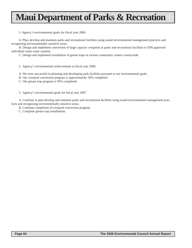### **Maui Department of Parks & Recreation**

1. Agency's environmental goals for fiscal year 2006.

A. Plan, develop and maintain parks and recreational facilities using sound environmental management practices and recognizing environmentally sensitive areas.

B. Design and implement conversion of large capacity cesspools at parks and recreational facilities to EPA approved individual waste water systems.

C. Design and implement installation of grease traps at various community centers countywide.

2. Agency's environmental achievements in fiscal year 2006.

A. We were successful in planning and developing park facilities pursuant to our environmental goals.

- B. Our cesspool conversion program is approximately 50% completed.
- C. Our grease trap program is 95% completed.
- 3. Agency's environmental goals for fiscal year 2007

A. Continue to plan develop and maintain parks and recreational facilities using sound environmental management practices and recognizing environmentally sensitive areas,

- B. Continue completion of cesspool conversion program.
- C. Complete grease trap installations.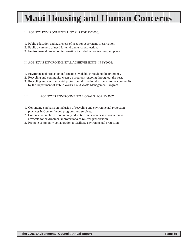# **Maui Housing and Human Concerns**

#### I. AGENCY ENVIRONMENTAL GOALS FOR FY2006:

- 1. Public education and awareness of need for ecosystems preservation.
- 2. Public awareness of need for environmental protection.
- 3. Environmental protection information included in grantee program plans.

#### II. AGENCY'S ENVIRONMENTAL ACHIEVEMENTS IN FY2006:

- 1. Environmental protection information available through public programs.
- 2. Recycling and community clean-up programs ongoing throughout the year.
- 3. Recycling and environmental protection information distributed to the community by the Department of Public Works, Solid Waste Management Program.

#### III. AGENCY'S ENVIRONMENTAL GOALS FOR FY2007:

- 1. Continuing emphasis on inclusion of recycling and environmental protection practices in County funded programs and services.
- 2. Continue to emphasize community education and awareness information to advocate for environmental protection/ecosystems preservation.
- 3. Promote community collaboration to facilitate environmental protection.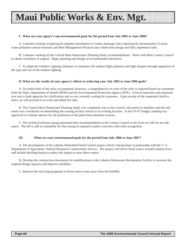### **Maui Public Works & Env. Mgt.**

#### **I. What are your agency's top environmental goals for the period from July 2005 to June 2006?**

A. Continue working on getting the adopted amendment to County drainage rules requiring the incorporation of storm water pollution-control measures and Best Management Practices into subdivision design and fully implement rules.

B. Continue working on the Central Maui Wastewater Planning Study recommendations. Work with Maui County Council to obtain resolution of support. Begin planning and design of recommended alternative.

C. To adopt the Outdoor Lighting ordinance to minimize the outdoor light pollution and light trespass through regulation of the type and use of the outdoor lighting.

#### **II. What are the results of your agency's efforts in achieving your July 2005 to June 2006 goals?**

A. An initial draft of the rules was prepared, however, a comprehensive re-write of the rules is required based on comments from the State, Department of Health (DOH) and the Environmental Protection Agency (EPA). A list of questions and proposals was sent to both agencies for clarification and we are currently waiting for responses. Upon receipt of the requested clarifications, we will proceed to re-write and adopt the rules.

B. The Central Maui Wastewater Planning Study was completed, sent to the Council, discussed in chambers and the end result was a resolution recommending the existing facility remain in its existing location. In the FY-07 budget, funding was approved to evaluate options for the protection of the plant from shoreline erosion.

C. The technical advisory group presented their recommendation to the County Council in the form of a bill for an ordinance. The bill is still in committee for fine tuning to respond to police concerns with color recognition.

#### **III. What are your environmental goals for the period from July 2006 to June 2007?**

A. The development of the Lahaina Watershed Flood Control project which is being done in partnership with the U. S. Department of Agriculture, Natural Resources Conservation Service. The project will divert flood waters around Lahaina town and include desilting basins to reduce the impact to near shore waters.

B. Develop the construction documents for modifications to the Lahaina Wastewater Reclamation Facility to reinstate the original design capacity and improve reliability.

C. Improve the recycling programs to divert more waste away from the landfills.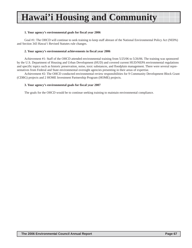# **Hawai'i Housing and Community**

#### **1. Your agency's environmental goals for fiscal year 2006**

Goal #1: The OHCD will continue to seek training to keep staff abreast of the National Environmental Policy Act (NEPA) and Section 343 Hawai'i Revised Statutes rule changes.

#### **2. Your agency's environmental achievements in fiscal year 2006**

Achievement #1: Staff of the OHCD attended environmental training from 5/25/06 to 5/26/06. The training was sponsored by the U.S. Department of Housing and Urban Development (HUD) and covered current HUD/NEPA environmental regulations and specific topics such as historic preservation, noise, toxic substances, and floodplain management. There were several representatives from Federal and State environmental oversight agencies presenting in their areas of expertise.

Achievement #2: The OHCD conducted environmental review responsibilities for 9 Community Development Block Grant (CDBG) projects and 2 HOME Investment Partnership Program (HOME) projects.

#### **3. Your agency's environmental goals for fiscal year 2007**

The goals for the OHCD would be to continue seeking training to maintain environmental compliance.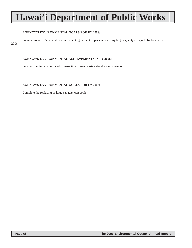# **Hawai'i Department of Public Works**

#### **AGENCY'S ENVIRONMENTAL GOALS FOR FY 2006:**

Pursuant to an EPA mandate and a consent agreement, replace all existing large capacity cesspools by November 1, 2006.

#### **AGENCY'S ENVIRONMENTAL ACHIEVEMENTS IN FY 2006:**

Secured funding and initiated construction of new wastewater disposal systems.

#### **AGENCY'S ENVIRONMENTAL GOALS FOR FY 2007:**

Complete the replacing of large capacity cesspools.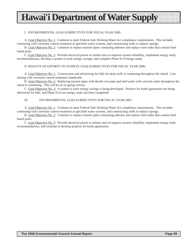### **Hawai'i Department of Water Supply**

#### I. ENVIRONMENTAL GOALS/OBJECTIVES FOR FISCAL YEAR 2006:

A. Goal Objective No. 1: Continue to meet Federal Safe Drinking Water Act compliance requirements. This includes continuing with corrosion control treatment at specified water systems, and constructing wells to replace springs.

B. Goal Objective No. 2: Continue to replace transite pipes containing asbestos and replace steel tanks that contain leadbased paint.

C. Goal Objective No. 3: Provide electrical power to remote sites to improve system reliability, implement energy study recommendations, develop a system to track energy savings, and complete Phase II of energy study.

#### II. RESULTS OF EFFORTS TO ACHIEVE GOALS/OBJECTIVES FOR FISCAL YEAR 2006:

A. Goal Objective No. 1: Construction and advertising for bids for deep wells is continuing throughout the island. Continuing with corrosion control treatment islandwide.

B. Goal Objective No. 2: Replacing transite pipes with ductile iron pipe and steel tanks with concrete tanks throughout the island is continuing. This will be an on-going activity.

C. Goal Objective No. 3: A system to track energy savings is being developed. Projects for hydro generation are being advertised for bids, and Phase II of our energy study has been completed.

#### III. ENVIRONMENTAL GOALS/OBJECTIVES FOR FISCAL YEAR 2007:

A. Goal Objective No. 1: Continue to meet Federal Safe Drinking Water Act compliance requirements. This includes continuing with corrosion control treatment at specified water systems, and constructing wells to replace springs.

B. Goal Objective No. 2: Continue to replace transite pipes containing asbestos and replace steel tanks that contain leadbased paint.

C. Goal Objective No. 3: Provide electrical power to remote sites to improve system reliability, implement energy study recommendations, and continue to develop projects for hydro generation.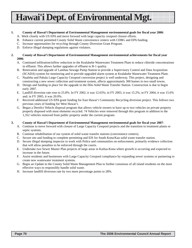**Hawai'i Dept. of Environmental Mgt.**

## **1. County of Hawai'i Department of Environmental Management environmental goals for fiscal year 2006**:

- A. Work closely with US EPA and move forward with large capacity cesspool closure efforts.
- B. Enhance current permitted County Solid Waste convenience centers with CDBG and EPA funding.
- C. Increase opportunities for recycling through County Diversion Grant Program.
- D. Enforce illegal dumping regulations against violators.

## **2. County of Hawai'i Department of Environmental Management environmental achievements for fiscal year 2006**:

- A. Continued infiltration/inflow reduction to the Kealakehe Wastewater Treatment Plant to reduce chloride concentrations in effluent. This allows further upgrades of effluent to R-1 quality.
- B. Renovation and upgrade of Lanihau Sewage Pump Station to provide a Supervisory Control and Data Acquisition (SCADA) system for monitoring and to provide upgraded alarm system at Kealakehe Wastewater Treatment Plant.
- C. Naalehu and Pahala Large Capacity Cesspool conversion project is well underway. This project, designing and constructing a new sewer collection and treatment system, affects approximately 300 homes in two small towns.
- D. Design and funding in place for the upgrade to the Hilo Solid Waste Transfer Station. Construction is due to begin early 2007.
- E. Landfill diversion rate rose to 25.8%. In FY 2002, it was 12.65%; in FY 2003, it was 15.2%; in FY 2004, it was 15.6% and; in FY 2005, it was 20.0%.
- F. Received additional US EPA grant funding for East Hawai'i Community Recycling diversion project. This follows two previous years of funding for West Hawai'i.
- G. Began a Derelict Vehicle disposal program that allows vehicle owners to have up to two vehicles on private property properly disposed with most elements recycled. 74 Vehicles were removed through this program in addition to the 1,352 vehicles removed from public property under the current program.

## **3. County of Hawai'i Department of Environmental Management environmental goals for fiscal year 2007**:

- A. Continue to move forward with closure of Large Capacity Cesspool projects and the transition to treatment plants or septic systems.
- B. Continue rehabilitation of our system of solid waste transfer stations (convenience centers).
- C. Secure site and funding to complete permitting and EIS for South Kona/Kau solid waste transfer station.
- D. Secure illegal dumping inspector to work with Police and communities on enforcement, primarily evidence collection that will allow penalties to be enforced through the courts.
- E. Undertake two Sewer Master Plan projects of large areas in Kailua-Kona where growth is occurring and expected to increase in the future.
- F. Assist residents and businesses with Large Capacity Cesspool compliance by expanding sewer systems or partnering to create new wastewater treatment systems.
- G. Begin an Update to the County Solid Waste Management Plan to further consensus of all island residents on the most effective ways to responsibly handle solid waste.
- H. Increase landfill diversion rate by two more percentage points to 28%.